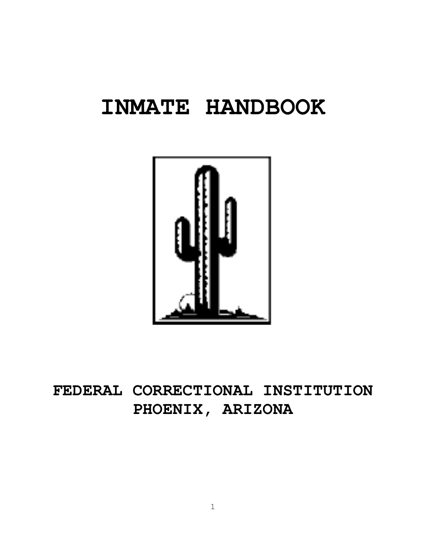# **INMATE HANDBOOK**



# **FEDERAL CORRECTIONAL INSTITUTION PHOENIX, ARIZONA**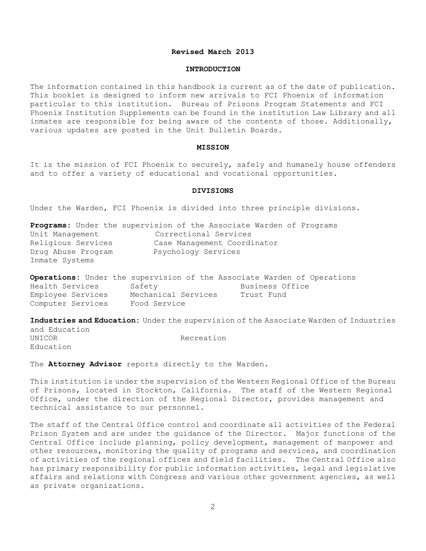#### **Revised March 2013**

#### **INTRODUCTION**

The information contained in this handbook is current as of the date of publication. This booklet is designed to inform new arrivals to FCI Phoenix of information particular to this institution. Bureau of Prisons Program Statements and FCI Phoenix Institution Supplements can be found in the institution Law Library and all inmates are responsible for being aware of the contents of those. Additionally, various updates are posted in the Unit Bulletin Boards.

#### **MISSION**

It is the mission of FCI Phoenix to securely, safely and humanely house offenders and to offer a variety of educational and vocational opportunities.

#### **DIVISIONS**

Under the Warden, FCI Phoenix is divided into three principle divisions.

|                    | Programs: Under the supervision of the Associate Warden of Programs |
|--------------------|---------------------------------------------------------------------|
| Unit Management    | Correctional Services                                               |
| Religious Services | Case Management Coordinator                                         |
| Drug Abuse Program | Psychology Services                                                 |
| Inmate Systems     |                                                                     |

|                   |                     | Operations: Under the supervision of the Associate Warden of Operations |
|-------------------|---------------------|-------------------------------------------------------------------------|
| Health Services   | Safety              | Business Office                                                         |
| Employee Services | Mechanical Services | Trust Fund                                                              |
| Computer Services | Food Service        |                                                                         |

**Industries and Education:** Under the supervision of the Associate Warden of Industries and Education UNICOR Recreation Education

The **Attorney Advisor** reports directly to the Warden.

This institution is under the supervision of the Western Regional Office of the Bureau of Prisons, located in Stockton, California. The staff of the Western Regional Office, under the direction of the Regional Director, provides management and technical assistance to our personnel.

The staff of the Central Office control and coordinate all activities of the Federal Prison System and are under the guidance of the Director. Major functions of the Central Office include planning, policy development, management of manpower and other resources, monitoring the quality of programs and services, and coordination of activities of the regional offices and field facilities. The Central Office also has primary responsibility for public information activities, legal and legislative affairs and relations with Congress and various other government agencies, as well as private organizations.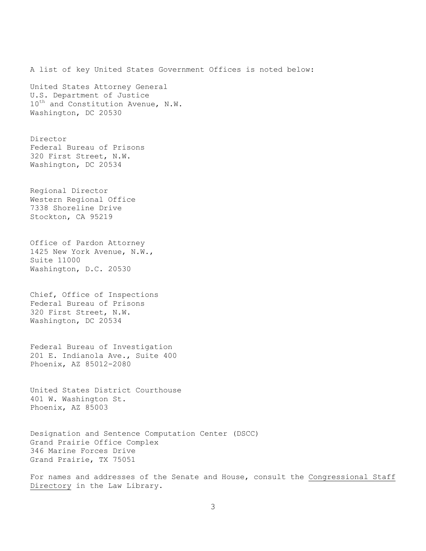A list of key United States Government Offices is noted below: United States Attorney General U.S. Department of Justice 10<sup>th</sup> and Constitution Avenue, N.W. Washington, DC 20530 Director Federal Bureau of Prisons 320 First Street, N.W. Washington, DC 20534 Regional Director Western Regional Office 7338 Shoreline Drive Stockton, CA 95219 Office of Pardon Attorney 1425 New York Avenue, N.W., Suite 11000 Washington, D.C. 20530 Chief, Office of Inspections Federal Bureau of Prisons 320 First Street, N.W. Washington, DC 20534 Federal Bureau of Investigation 201 E. Indianola Ave., Suite 400 Phoenix, AZ 85012-2080 United States District Courthouse 401 W. Washington St. Phoenix, AZ 85003 Designation and Sentence Computation Center (DSCC) Grand Prairie Office Complex 346 Marine Forces Drive Grand Prairie, TX 75051

For names and addresses of the Senate and House, consult the Congressional Staff Directory in the Law Library.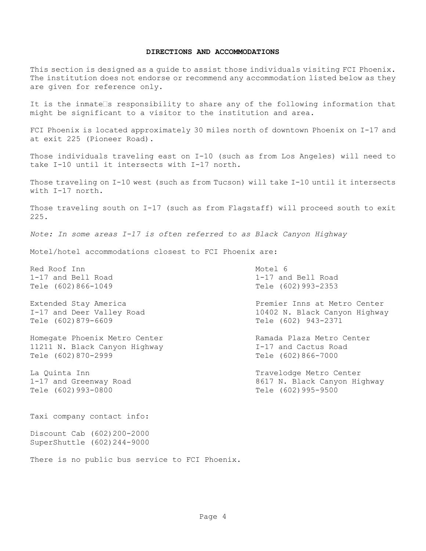#### **DIRECTIONS AND ACCOMMODATIONS**

This section is designed as a guide to assist those individuals visiting FCI Phoenix. The institution does not endorse or recommend any accommodation listed below as they are given for reference only.

It is the inmate  $\Box$ s responsibility to share any of the following information that might be significant to a visitor to the institution and area.

FCI Phoenix is located approximately 30 miles north of downtown Phoenix on I-17 and at exit 225 (Pioneer Road).

Those individuals traveling east on I-10 (such as from Los Angeles) will need to take I-10 until it intersects with I-17 north.

Those traveling on I-10 west (such as from Tucson) will take I-10 until it intersects with I-17 north.

Those traveling south on I-17 (such as from Flagstaff) will proceed south to exit 225.

*Note: In some areas I-17 is often referred to as Black Canyon Highway*

Motel/hotel accommodations closest to FCI Phoenix are:

Red Roof Inn and Motel 6

Tele (602)879-6609 Tele (602) 943-2371

Homegate Phoenix Metro Center **Ramada Plaza Metro Center** 11211 N. Black Canyon Highway I-17 and Cactus Road Tele (602)870-2999 Tele (602)866-7000

Tele (602)993-0800 Tele (602)995-9500

Taxi company contact info:

Discount Cab (602)200-2000 SuperShuttle (602)244-9000

There is no public bus service to FCI Phoenix.

1-17 and Bell Road 1-17 and Bell Road Tele (602)866-1049 Tele (602)993-2353

Extended Stay America Premier Inns at Metro Center I-17 and Deer Valley Road 10402 N. Black Canyon Highway

La Quinta Inn Travelodge Metro Center 1-17 and Greenway Road 8617 N. Black Canyon Highway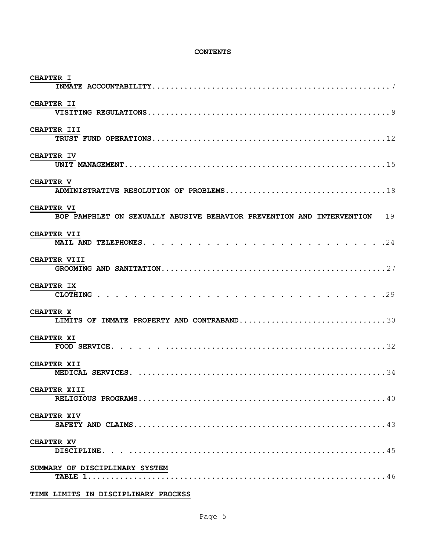#### **CONTENTS**

| <b>CHAPTER I</b>                                                                              |
|-----------------------------------------------------------------------------------------------|
| CHAPTER II                                                                                    |
| CHAPTER III                                                                                   |
| CHAPTER IV                                                                                    |
| <b>CHAPTER V</b>                                                                              |
| <b>CHAPTER VI</b><br>BOP PAMPHLET ON SEXUALLY ABUSIVE BEHAVIOR PREVENTION AND INTERVENTION 19 |
| <b>CHAPTER VII</b>                                                                            |
| <b>CHAPTER VIII</b>                                                                           |
| <b>CHAPTER IX</b>                                                                             |
| <b>CHAPTER X</b><br>LIMITS OF INMATE PROPERTY AND CONTRABAND30                                |
| <b>CHAPTER XI</b>                                                                             |
| <b>CHAPTER XII</b>                                                                            |
| CHAPTER XIII                                                                                  |
| <b>CHAPTER XIV</b>                                                                            |
| <b>CHAPTER XV</b>                                                                             |
| SUMMARY OF DISCIPLINARY SYSTEM                                                                |

#### **TIME LIMITS IN DISCIPLINARY PROCESS**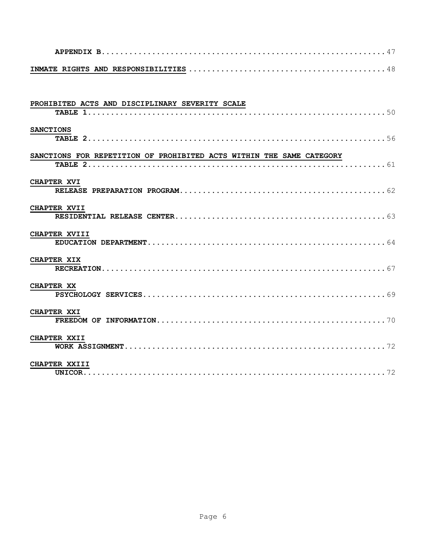| PROHIBITED ACTS AND DISCIPLINARY SEVERITY SCALE                      |
|----------------------------------------------------------------------|
| <b>SANCTIONS</b>                                                     |
| SANCTIONS FOR REPETITION OF PROHIBITED ACTS WITHIN THE SAME CATEGORY |
|                                                                      |
| <b>CHAPTER XVI</b>                                                   |
| CHAPTER XVII                                                         |
| CHAPTER XVIII                                                        |
| <b>CHAPTER XIX</b>                                                   |
| <b>CHAPTER XX</b>                                                    |
| <b>CHAPTER XXI</b>                                                   |
| CHAPTER XXII                                                         |
| CHAPTER XXIII                                                        |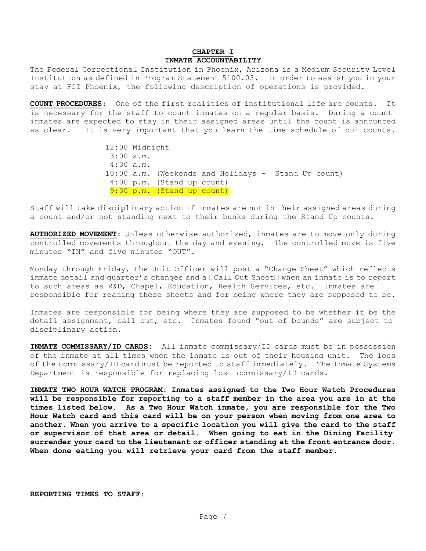#### **CHAPTER I INMATE ACCOUNTABILITY**

The Federal Correctional Institution in Phoenix, Arizona is a Medium Security Level Institution as defined in Program Statement 5100.03. In order to assist you in your stay at FCI Phoenix, the following description of operations is provided.

**COUNT PROCEDURES**: One of the first realities of institutional life are counts. It is necessary for the staff to count inmates on a regular basis. During a count inmates are expected to stay in their assigned areas until the count is announced as clear. It is very important that you learn the time schedule of our counts.

> 12:00 Midnight 3:00 a.m. 4:30 a.m**.**  10:00 a.m. (Weekends and Holidays - Stand Up count) 4:00 p.m. (Stand up count) 9:30 p.m. (Stand up count)

Staff will take disciplinary action if inmates are not in their assigned areas during a count and/or not standing next to their bunks during the Stand Up counts.

**AUTHORIZED MOVEMENT:** Unless otherwise authorized, inmates are to move only during controlled movements throughout the day and evening. The controlled move is five minutes "IN" and five minutes "OUT".

Monday through Friday, the Unit Officer will post a "Change Sheet" which reflects inmate detail and quarter's changes and a  $\Box$ Call Out Sheet $\Box$  when an inmate is to report to such areas as R&D, Chapel, Education, Health Services, etc. Inmates are responsible for reading these sheets and for being where they are supposed to be.

Inmates are responsible for being where they are supposed to be whether it be the detail assignment, call out, etc. Inmates found "out of bounds" are subject to disciplinary action.

**INMATE COMMISSARY/ID CARDS:** All inmate commissary/ID cards must be in possession of the inmate at all times when the inmate is out of their housing unit. The loss of the commissary/ID card must be reported to staff immediately. The Inmate Systems Department is responsible for replacing lost commissary/ID cards.

**INMATE TWO HOUR WATCH PROGRAM: Inmates assigned to the Two Hour Watch Procedures will be responsible for reporting to a staff member in the area you are in at the times listed below. As a Two Hour Watch inmate, you are responsible for the Two Hour Watch card and this card will be on your person when moving from one area to another. When you arrive to a specific location you will give the card to the staff or supervisor of that area or detail. When going to eat in the Dining Facility surrender your card to the lieutenant or officer standing at the front entrance door. When done eating you will retrieve your card from the staff member.** 

**REPORTING TIMES TO STAFF:**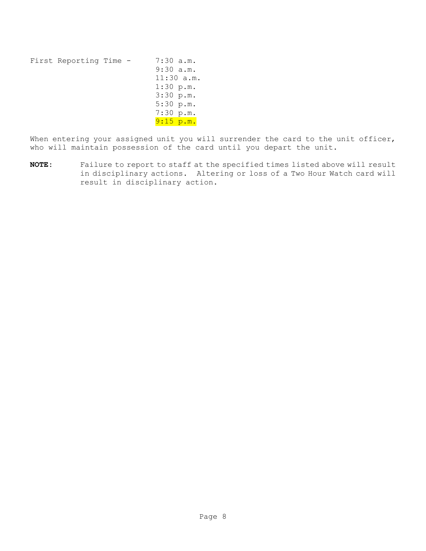First Reporting Time - 7:30 a.m. 9:30 a.m. 11:30 a.m. 1:30 p.m. 3:30 p.m. 5:30 p.m. 7:30 p.m. 9:15 p.m.

When entering your assigned unit you will surrender the card to the unit officer, who will maintain possession of the card until you depart the unit.

**NOTE:** Failure to report to staff at the specified times listed above will result in disciplinary actions. Altering or loss of a Two Hour Watch card will result in disciplinary action.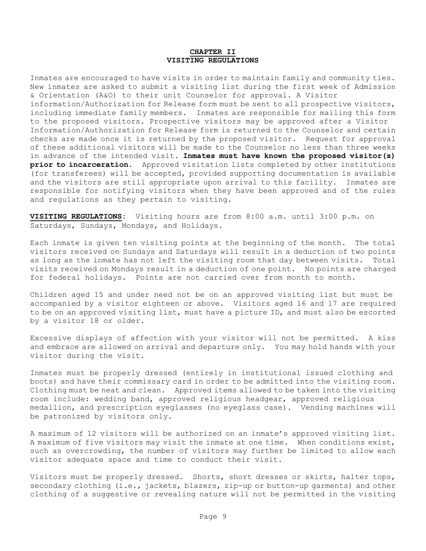#### **CHAPTER II VISITING REGULATIONS**

Inmates are encouraged to have visits in order to maintain family and community ties. New inmates are asked to submit a visiting list during the first week of Admission & Orientation (A&O) to their unit Counselor for approval. A Visitor information/Authorization for Release form must be sent to all prospective visitors, including immediate family members. Inmates are responsible for mailing this form to the proposed visitors. Prospective visitors may be approved after a Visitor Information/Authorization for Release form is returned to the Counselor and certain checks are made once it is returned by the proposed visitor. Request for approval of these additional visitors will be made to the Counselor no less than three weeks in advance of the intended visit. **Inmates must have known the proposed visitor(s) prior to incarceration.** Approved visitation lists completed by other institutions (for transferees) will be accepted, provided supporting documentation is available and the visitors are still appropriate upon arrival to this facility. Inmates are responsible for notifying visitors when they have been approved and of the rules and regulations as they pertain to visiting.

**VISITING REGULATIONS:** Visiting hours are from 8:00 a.m. until 3:00 p.m. on Saturdays, Sundays, Mondays, and Holidays.

Each inmate is given ten visiting points at the beginning of the month. The total visitors received on Sundays and Saturdays will result in a deduction of two points as long as the inmate has not left the visiting room that day between visits. Total visits received on Mondays result in a deduction of one point. No points are charged for federal holidays. Points are not carried over from month to month.

Children aged 15 and under need not be on an approved visiting list but must be accompanied by a visitor eighteen or above. Visitors aged 16 and 17 are required to be on an approved visiting list, must have a picture ID, and must also be escorted by a visitor 18 or older.

Excessive displays of affection with your visitor will not be permitted. A kiss and embrace are allowed on arrival and departure only. You may hold hands with your visitor during the visit.

Inmates must be properly dressed (entirely in institutional issued clothing and boots) and have their commissary card in order to be admitted into the visiting room. Clothing must be neat and clean. Approved items allowed to be taken into the visiting room include: wedding band, approved religious headgear, approved religious medallion, and prescription eyeglasses (no eyeglass case). Vending machines will be patronized by visitors only.

A maximum of 12 visitors will be authorized on an inmate's approved visiting list. A maximum of five visitors may visit the inmate at one time. When conditions exist, such as overcrowding, the number of visitors may further be limited to allow each visitor adequate space and time to conduct their visit.

Visitors must be properly dressed. Shorts, short dresses or skirts, halter tops, secondary clothing (i.e., jackets, blazers, zip-up or button-up garments) and other clothing of a suggestive or revealing nature will not be permitted in the visiting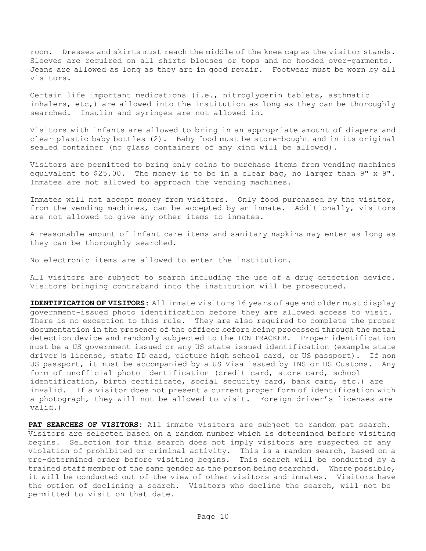room. Dresses and skirts must reach the middle of the knee cap as the visitor stands. Sleeves are required on all shirts blouses or tops and no hooded over-garments. Jeans are allowed as long as they are in good repair. Footwear must be worn by all visitors.

Certain life important medications (i.e., nitroglycerin tablets, asthmatic inhalers, etc,) are allowed into the institution as long as they can be thoroughly searched. Insulin and syringes are not allowed in.

Visitors with infants are allowed to bring in an appropriate amount of diapers and clear plastic baby bottles (2). Baby food must be store-bought and in its original sealed container (no glass containers of any kind will be allowed).

Visitors are permitted to bring only coins to purchase items from vending machines equivalent to \$25.00. The money is to be in a clear bag, no larger than 9" x 9". Inmates are not allowed to approach the vending machines.

Inmates will not accept money from visitors. Only food purchased by the visitor, from the vending machines, can be accepted by an inmate. Additionally, visitors are not allowed to give any other items to inmates.

A reasonable amount of infant care items and sanitary napkins may enter as long as they can be thoroughly searched.

No electronic items are allowed to enter the institution.

All visitors are subject to search including the use of a drug detection device. Visitors bringing contraband into the institution will be prosecuted.

**IDENTIFICATION OF VISITORS:** All inmate visitors 16 years of age and older must display government-issued photo identification before they are allowed access to visit. There is no exception to this rule. They are also required to complete the proper documentation in the presence of the officer before being processed through the metal detection device and randomly subjected to the ION TRACKER. Proper identification must be a US government issued or any US state issued identification (example state driver S license, state ID card, picture high school card, or US passport). If non US passport, it must be accompanied by a US Visa issued by INS or US Customs. Any form of unofficial photo identification (credit card, store card, school identification, birth certificate, social security card, bank card, etc.) are invalid. If a visitor does not present a current proper form of identification with a photograph, they will not be allowed to visit. Foreign driver's licenses are valid.)

**PAT SEARCHES OF VISITORS:** All inmate visitors are subject to random pat search. Visitors are selected based on a random number which is determined before visiting begins. Selection for this search does not imply visitors are suspected of any violation of prohibited or criminal activity. This is a random search, based on a pre-determined order before visiting begins. This search will be conducted by a trained staff member of the same gender as the person being searched. Where possible, it will be conducted out of the view of other visitors and inmates. Visitors have the option of declining a search. Visitors who decline the search, will not be permitted to visit on that date.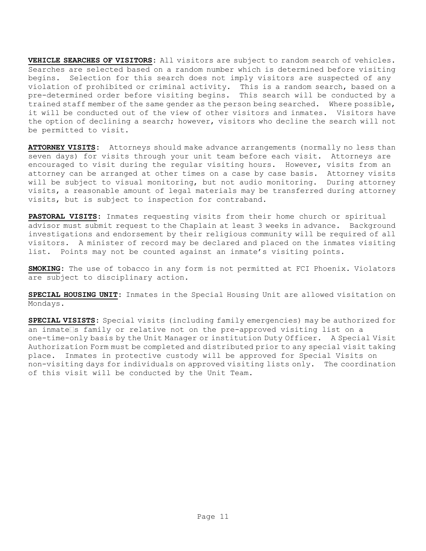**VEHICLE SEARCHES OF VISITORS:** All visitors are subject to random search of vehicles. Searches are selected based on a random number which is determined before visiting begins. Selection for this search does not imply visitors are suspected of any violation of prohibited or criminal activity. This is a random search, based on a pre-determined order before visiting begins. This search will be conducted by a trained staff member of the same gender as the person being searched. Where possible, it will be conducted out of the view of other visitors and inmates. Visitors have the option of declining a search; however, visitors who decline the search will not be permitted to visit.

**ATTORNEY VISITS:** Attorneys should make advance arrangements (normally no less than seven days) for visits through your unit team before each visit. Attorneys are encouraged to visit during the regular visiting hours. However, visits from an attorney can be arranged at other times on a case by case basis. Attorney visits will be subject to visual monitoring, but not audio monitoring. During attorney visits, a reasonable amount of legal materials may be transferred during attorney visits, but is subject to inspection for contraband.

**PASTORAL VISITS:** Inmates requesting visits from their home church or spiritual advisor must submit request to the Chaplain at least 3 weeks in advance. Background investigations and endorsement by their religious community will be required of all visitors. A minister of record may be declared and placed on the inmates visiting list. Points may not be counted against an inmate's visiting points.

**SMOKING:** The use of tobacco in any form is not permitted at FCI Phoenix. Violators are subject to disciplinary action.

**SPECIAL HOUSING UNIT:** Inmates in the Special Housing Unit are allowed visitation on Mondays.

**SPECIAL VISISTS:** Special visits (including family emergencies) may be authorized for an inmate s family or relative not on the pre-approved visiting list on a one-time-only basis by the Unit Manager or institution Duty Officer. A Special Visit Authorization Form must be completed and distributed prior to any special visit taking place. Inmates in protective custody will be approved for Special Visits on non-visiting days for individuals on approved visiting lists only. The coordination of this visit will be conducted by the Unit Team.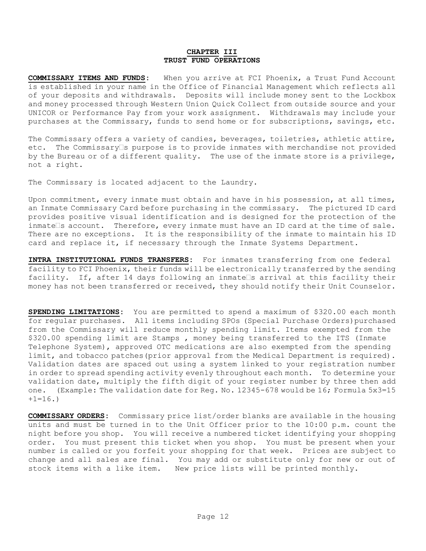#### **CHAPTER III TRUST FUND OPERATIONS**

**COMMISSARY ITEMS AND FUNDS:** When you arrive at FCI Phoenix, a Trust Fund Account is established in your name in the Office of Financial Management which reflects all of your deposits and withdrawals. Deposits will include money sent to the Lockbox and money processed through Western Union Quick Collect from outside source and your UNICOR or Performance Pay from your work assignment. Withdrawals may include your purchases at the Commissary, funds to send home or for subscriptions, savings, etc.

The Commissary offers a variety of candies, beverages, toiletries, athletic attire, etc. The Commissary $\square$ s purpose is to provide inmates with merchandise not provided by the Bureau or of a different quality. The use of the inmate store is a privilege, not a right.

The Commissary is located adjacent to the Laundry.

Upon commitment, every inmate must obtain and have in his possession, at all times, an Inmate Commissary Card before purchasing in the commissary. The pictured ID card provides positive visual identification and is designed for the protection of the inmate s account. Therefore, every inmate must have an ID card at the time of sale. There are no exceptions. It is the responsibility of the inmate to maintain his ID card and replace it, if necessary through the Inmate Systems Department.

**INTRA INSTITUTIONAL FUNDS TRANSFERS:** For inmates transferring from one federal facility to FCI Phoenix, their funds will be electronically transferred by the sending facility. If, after 14 days following an inmate s arrival at this facility their money has not been transferred or received, they should notify their Unit Counselor.

**SPENDING LIMITATIONS:** You are permitted to spend a maximum of \$320.00 each month for regular purchases. All items including SPOs (Special Purchase Orders)purchased from the Commissary will reduce monthly spending limit. Items exempted from the \$320.00 spending limit are Stamps , money being transferred to the ITS (Inmate Telephone System), approved OTC medications are also exempted from the spending limit, and tobacco patches (prior approval from the Medical Department is required). Validation dates are spaced out using a system linked to your registration number in order to spread spending activity evenly throughout each month. To determine your validation date, multiply the fifth digit of your register number by three then add one. (Example: The validation date for Req. No. 12345-678 would be 16; Formula 5x3=15  $+1=16.$ )

**COMMISSARY ORDERS:** Commissary price list/order blanks are available in the housing units and must be turned in to the Unit Officer prior to the 10:00 p.m. count the night before you shop. You will receive a numbered ticket identifying your shopping order. You must present this ticket when you shop. You must be present when your number is called or you forfeit your shopping for that week. Prices are subject to change and all sales are final. You may add or substitute only for new or out of stock items with a like item. New price lists will be printed monthly.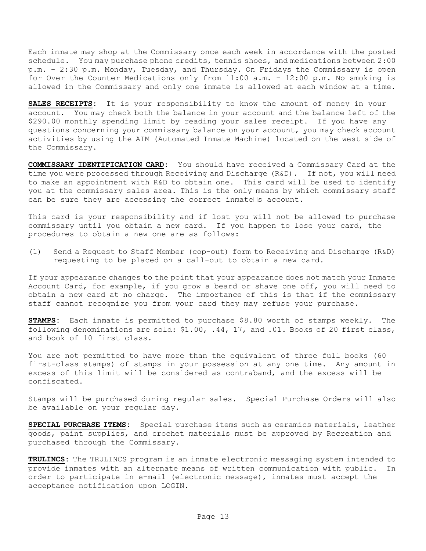Each inmate may shop at the Commissary once each week in accordance with the posted schedule. You may purchase phone credits, tennis shoes, and medications between 2:00 p.m. - 2:30 p.m. Monday, Tuesday, and Thursday. On Fridays the Commissary is open for Over the Counter Medications only from 11:00 a.m. - 12:00 p.m. No smoking is allowed in the Commissary and only one inmate is allowed at each window at a time.

**SALES RECEIPTS:** It is your responsibility to know the amount of money in your account. You may check both the balance in your account and the balance left of the \$290.00 monthly spending limit by reading your sales receipt. If you have any questions concerning your commissary balance on your account, you may check account activities by using the AIM (Automated Inmate Machine) located on the west side of the Commissary.

**COMMISSARY IDENTIFICATION CARD:** You should have received a Commissary Card at the time you were processed through Receiving and Discharge (R&D). If not, you will need to make an appointment with R&D to obtain one. This card will be used to identify you at the commissary sales area. This is the only means by which commissary staff can be sure they are accessing the correct inmate  $\Box$ s account.

This card is your responsibility and if lost you will not be allowed to purchase commissary until you obtain a new card. If you happen to lose your card, the procedures to obtain a new one are as follows:

(1) Send a Request to Staff Member (cop-out) form to Receiving and Discharge (R&D) requesting to be placed on a call-out to obtain a new card.

If your appearance changes to the point that your appearance does not match your Inmate Account Card, for example, if you grow a beard or shave one off, you will need to obtain a new card at no charge. The importance of this is that if the commissary staff cannot recognize you from your card they may refuse your purchase.

**STAMPS:** Each inmate is permitted to purchase \$8.80 worth of stamps weekly. The following denominations are sold: \$1.00, .44, 17, and .01. Books of 20 first class, and book of 10 first class.

You are not permitted to have more than the equivalent of three full books (60 first-class stamps) of stamps in your possession at any one time. Any amount in excess of this limit will be considered as contraband, and the excess will be confiscated.

Stamps will be purchased during regular sales. Special Purchase Orders will also be available on your regular day.

**SPECIAL PURCHASE ITEMS:** Special purchase items such as ceramics materials, leather goods, paint supplies, and crochet materials must be approved by Recreation and purchased through the Commissary.

**TRULINCS:** The TRULINCS program is an inmate electronic messaging system intended to provide inmates with an alternate means of written communication with public. In order to participate in e-mail (electronic message), inmates must accept the acceptance notification upon LOGIN.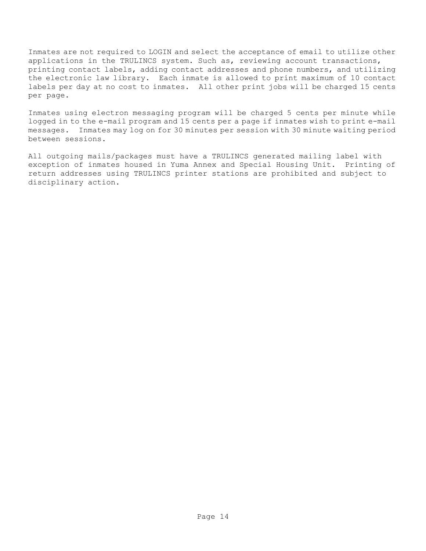Inmates are not required to LOGIN and select the acceptance of email to utilize other applications in the TRULINCS system. Such as, reviewing account transactions, printing contact labels, adding contact addresses and phone numbers, and utilizing the electronic law library. Each inmate is allowed to print maximum of 10 contact labels per day at no cost to inmates. All other print jobs will be charged 15 cents per page.

Inmates using electron messaging program will be charged 5 cents per minute while logged in to the e-mail program and 15 cents per a page if inmates wish to print e-mail messages. Inmates may log on for 30 minutes per session with 30 minute waiting period between sessions.

All outgoing mails/packages must have a TRULINCS generated mailing label with exception of inmates housed in Yuma Annex and Special Housing Unit. Printing of return addresses using TRULINCS printer stations are prohibited and subject to disciplinary action.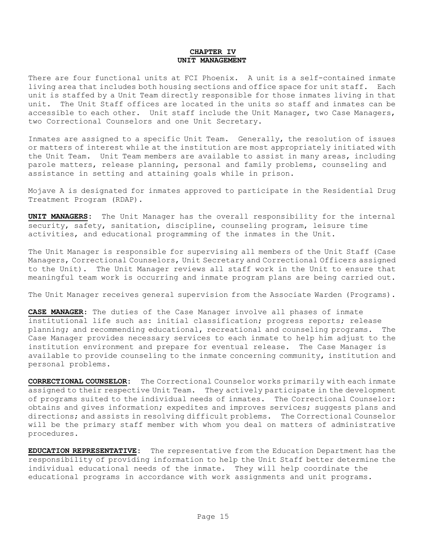#### **CHAPTER IV UNIT MANAGEMENT**

There are four functional units at FCI Phoenix. A unit is a self-contained inmate living area that includes both housing sections and office space for unit staff. Each unit is staffed by a Unit Team directly responsible for those inmates living in that unit. The Unit Staff offices are located in the units so staff and inmates can be accessible to each other. Unit staff include the Unit Manager, two Case Managers, two Correctional Counselors and one Unit Secretary.

Inmates are assigned to a specific Unit Team. Generally, the resolution of issues or matters of interest while at the institution are most appropriately initiated with the Unit Team. Unit Team members are available to assist in many areas, including parole matters, release planning, personal and family problems, counseling and assistance in setting and attaining goals while in prison.

Mojave A is designated for inmates approved to participate in the Residential Drug Treatment Program (RDAP).

**UNIT MANAGERS:** The Unit Manager has the overall responsibility for the internal security, safety, sanitation, discipline, counseling program, leisure time activities, and educational programming of the inmates in the Unit.

The Unit Manager is responsible for supervising all members of the Unit Staff (Case Managers, Correctional Counselors, Unit Secretary and Correctional Officers assigned to the Unit). The Unit Manager reviews all staff work in the Unit to ensure that meaningful team work is occurring and inmate program plans are being carried out.

The Unit Manager receives general supervision from the Associate Warden (Programs).

**CASE MANAGER**: The duties of the Case Manager involve all phases of inmate institutional life such as: initial classification; progress reports; release planning; and recommending educational, recreational and counseling programs. The Case Manager provides necessary services to each inmate to help him adjust to the institution environment and prepare for eventual release. The Case Manager is available to provide counseling to the inmate concerning community, institution and personal problems.

**CORRECTIONAL COUNSELOR:** The Correctional Counselor works primarily with each inmate assigned to their respective Unit Team. They actively participate in the development of programs suited to the individual needs of inmates. The Correctional Counselor: obtains and gives information; expedites and improves services; suggests plans and directions; and assists in resolving difficult problems. The Correctional Counselor will be the primary staff member with whom you deal on matters of administrative procedures.

**EDUCATION REPRESENTATIVE:** The representative from the Education Department has the responsibility of providing information to help the Unit Staff better determine the individual educational needs of the inmate. They will help coordinate the educational programs in accordance with work assignments and unit programs.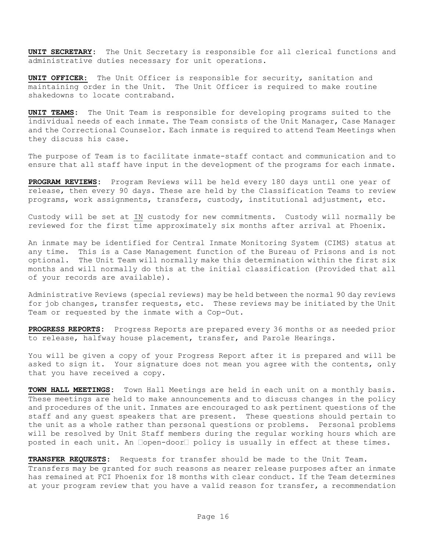**UNIT SECRETARY:** The Unit Secretary is responsible for all clerical functions and administrative duties necessary for unit operations.

**UNIT OFFICER:** The Unit Officer is responsible for security, sanitation and maintaining order in the Unit. The Unit Officer is required to make routine shakedowns to locate contraband.

**UNIT TEAMS:** The Unit Team is responsible for developing programs suited to the individual needs of each inmate. The Team consists of the Unit Manager, Case Manager and the Correctional Counselor. Each inmate is required to attend Team Meetings when they discuss his case.

The purpose of Team is to facilitate inmate-staff contact and communication and to ensure that all staff have input in the development of the programs for each inmate.

**PROGRAM REVIEWS:** Program Reviews will be held every 180 days until one year of release, then every 90 days. These are held by the Classification Teams to review programs, work assignments, transfers, custody, institutional adjustment, etc.

Custody will be set at IN custody for new commitments. Custody will normally be reviewed for the first time approximately six months after arrival at Phoenix.

An inmate may be identified for Central Inmate Monitoring System (CIMS) status at any time. This is a Case Management function of the Bureau of Prisons and is not optional. The Unit Team will normally make this determination within the first six months and will normally do this at the initial classification (Provided that all of your records are available).

Administrative Reviews (special reviews) may be held between the normal 90 day reviews for job changes, transfer requests, etc. These reviews may be initiated by the Unit Team or requested by the inmate with a Cop-Out.

**PROGRESS REPORTS:** Progress Reports are prepared every 36 months or as needed prior to release, halfway house placement, transfer, and Parole Hearings.

You will be given a copy of your Progress Report after it is prepared and will be asked to sign it. Your signature does not mean you agree with the contents, only that you have received a copy.

**TOWN HALL MEETINGS:** Town Hall Meetings are held in each unit on a monthly basis. These meetings are held to make announcements and to discuss changes in the policy and procedures of the unit. Inmates are encouraged to ask pertinent questions of the staff and any guest speakers that are present. These questions should pertain to the unit as a whole rather than personal questions or problems. Personal problems will be resolved by Unit Staff members during the regular working hours which are posted in each unit. An  $\Box$ open-door $\Box$  policy is usually in effect at these times.

**TRANSFER REQUESTS:** Requests for transfer should be made to the Unit Team. Transfers may be granted for such reasons as nearer release purposes after an inmate

has remained at FCI Phoenix for 18 months with clear conduct. If the Team determines at your program review that you have a valid reason for transfer, a recommendation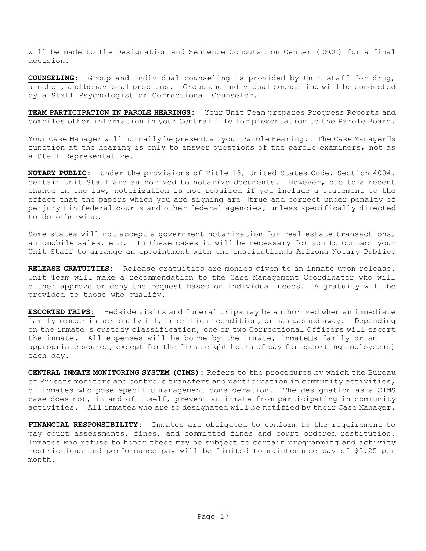will be made to the Designation and Sentence Computation Center (DSCC) for a final decision.

**COUNSELING:** Group and individual counseling is provided by Unit staff for drug, alcohol, and behavioral problems. Group and individual counseling will be conducted by a Staff Psychologist or Correctional Counselor.

**TEAM PARTICIPATION IN PAROLE HEARINGS:** Your Unit Team prepares Progress Reports and compiles other information in your Central file for presentation to the Parole Board.

Your Case Manager will normally be present at your Parole Hearing. The Case Manager $\Box$ s function at the hearing is only to answer questions of the parole examiners, not as a Staff Representative.

**NOTARY PUBLIC:** Under the provisions of Title 18, United States Code, Section 4004, certain Unit Staff are authorized to notarize documents. However, due to a recent change in the law, notarization is not required if you include a statement to the effect that the papers which you are signing are  $\Box$ true and correct under penalty of  $perjury$  in federal courts and other federal agencies, unless specifically directed to do otherwise.

Some states will not accept a government notarization for real estate transactions, automobile sales, etc. In these cases it will be necessary for you to contact your Unit Staff to arrange an appointment with the institution  $\Box$ s Arizona Notary Public.

**RELEASE GRATUITIES:** Release gratuities are monies given to an inmate upon release. Unit Team will make a recommendation to the Case Management Coordinator who will either approve or deny the request based on individual needs. A gratuity will be provided to those who qualify.

**ESCORTED TRIPS:** Bedside visits and funeral trips may be authorized when an immediate family member is seriously ill, in critical condition, or has passed away. Depending on the inmate  $\Box$ s custody classification, one or two Correctional Officers will escort the inmate. All expenses will be borne by the inmate, inmate is family or an appropriate source, except for the first eight hours of pay for escorting employee(s) each day.

**CENTRAL INMATE MONITORING SYSTEM (CIMS):** Refers to the procedures by which the Bureau of Prisons monitors and controls transfers and participation in community activities, of inmates who pose specific management consideration. The designation as a CIMS case does not, in and of itself, prevent an inmate from participating in community activities. All inmates who are so designated will be notified by their Case Manager.

**FINANCIAL RESPONSIBILITY:** Inmates are obligated to conform to the requirement to pay court assessments, fines, and committed fines and court ordered restitution. Inmates who refuse to honor these may be subject to certain programming and activity restrictions and performance pay will be limited to maintenance pay of \$5.25 per month.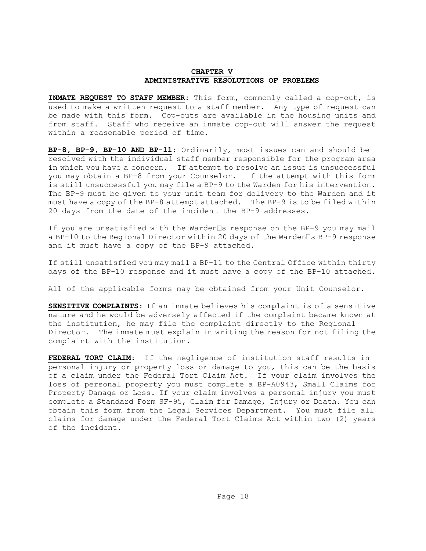#### **CHAPTER V ADMINISTRATIVE RESOLUTIONS OF PROBLEMS**

**INMATE REQUEST TO STAFF MEMBER:** This form, commonly called a cop-out, is used to make a written request to a staff member. Any type of request can be made with this form. Cop-outs are available in the housing units and from staff. Staff who receive an inmate cop-out will answer the request within a reasonable period of time.

**BP-8, BP-9, BP-10 AND BP-11:** Ordinarily, most issues can and should be resolved with the individual staff member responsible for the program area in which you have a concern. If attempt to resolve an issue is unsuccessful you may obtain a BP-8 from your Counselor. If the attempt with this form is still unsuccessful you may file a BP-9 to the Warden for his intervention. The BP-9 must be given to your unit team for delivery to the Warden and it must have a copy of the BP-8 attempt attached. The BP-9 is to be filed within 20 days from the date of the incident the BP-9 addresses.

If you are unsatisfied with the Warden $\square$ s response on the BP-9 you may mail a BP-10 to the Regional Director within 20 days of the Warden SBP-9 response and it must have a copy of the BP-9 attached.

If still unsatisfied you may mail a BP-11 to the Central Office within thirty days of the BP-10 response and it must have a copy of the BP-10 attached.

All of the applicable forms may be obtained from your Unit Counselor.

**SENSITIVE COMPLAINTS:** If an inmate believes his complaint is of a sensitive nature and he would be adversely affected if the complaint became known at the institution, he may file the complaint directly to the Regional Director. The inmate must explain in writing the reason for not filing the complaint with the institution.

**FEDERAL TORT CLAIM:** If the negligence of institution staff results in personal injury or property loss or damage to you, this can be the basis of a claim under the Federal Tort Claim Act. If your claim involves the loss of personal property you must complete a BP-A0943, Small Claims for Property Damage or Loss. If your claim involves a personal injury you must complete a Standard Form SF-95, Claim for Damage, Injury or Death. You can obtain this form from the Legal Services Department. You must file all claims for damage under the Federal Tort Claims Act within two (2) years of the incident.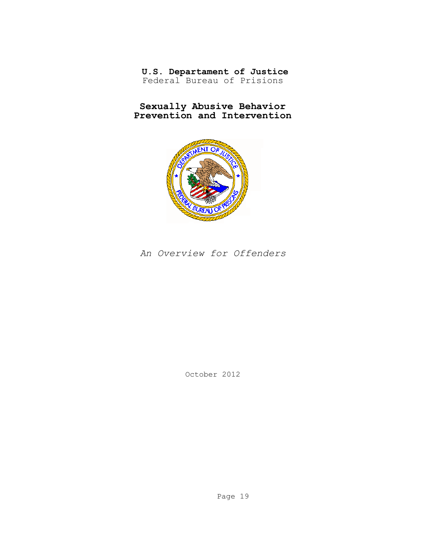**U.S. Departament of Justice**  Federal Bureau of Prisions

**Sexually Abusive Behavior Prevention and Intervention**



*An Overview for Offenders*

October 2012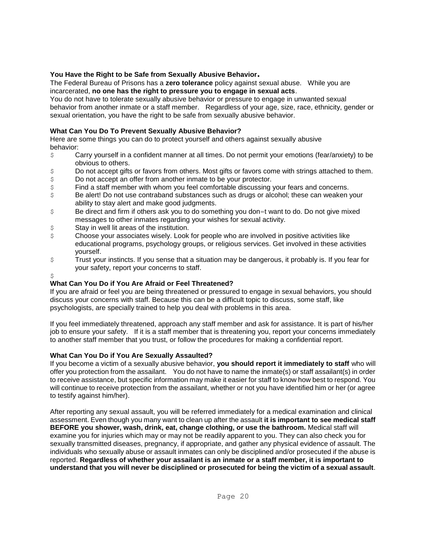#### **You Have the Right to be Safe from Sexually Abusive Behavior.**

The Federal Bureau of Prisons has a **zero tolerance** policy against sexual abuse. While you are incarcerated, **no one has the right to pressure you to engage in sexual acts**.

You do not have to tolerate sexually abusive behavior or pressure to engage in unwanted sexual behavior from another inmate or a staff member. Regardless of your age, size, race, ethnicity, gender or sexual orientation, you have the right to be safe from sexually abusive behavior.

#### **What Can You Do To Prevent Sexually Abusive Behavior?**

Here are some things you can do to protect yourself and others against sexually abusive behavior:

- $\epsilon$  Carry yourself in a confident manner at all times. Do not permit your emotions (fear/anxiety) to be obvious to others.
- \$ Do not accept gifts or favors from others. Most gifts or favors come with strings attached to them.
- \$ Do not accept an offer from another inmate to be your protector.
- \$ Find a staff member with whom you feel comfortable discussing your fears and concerns.
- \$ Be alert! Do not use contraband substances such as drugs or alcohol; these can weaken your ability to stay alert and make good judgments.
- \$ Be direct and firm if others ask you to do something you don=t want to do. Do not give mixed messages to other inmates regarding your wishes for sexual activity.
- \$ Stay in well lit areas of the institution.
- $$$  Choose your associates wisely. Look for people who are involved in positive activities like educational programs, psychology groups, or religious services. Get involved in these activities yourself.
- \$ Trust your instincts. If you sense that a situation may be dangerous, it probably is. If you fear for your safety, report your concerns to staff.

#### \$

### **What Can You Do if You Are Afraid or Feel Threatened?**

If you are afraid or feel you are being threatened or pressured to engage in sexual behaviors, you should discuss your concerns with staff. Because this can be a difficult topic to discuss, some staff, like psychologists, are specially trained to help you deal with problems in this area.

If you feel immediately threatened, approach any staff member and ask for assistance. It is part of his/her job to ensure your safety. If it is a staff member that is threatening you, report your concerns immediately to another staff member that you trust, or follow the procedures for making a confidential report.

#### **What Can You Do if You Are Sexually Assaulted?**

If you become a victim of a sexually abusive behavior, **you should report it immediately to staff** who will offer you protection from the assailant. You do not have to name the inmate(s) or staff assailant(s) in order to receive assistance, but specific information may make it easier for staff to know how best to respond. You will continue to receive protection from the assailant, whether or not you have identified him or her (or agree to testify against him/her).

After reporting any sexual assault, you will be referred immediately for a medical examination and clinical assessment. Even though you many want to clean up after the assault **it is important to see medical staff BEFORE you shower, wash, drink, eat, change clothing, or use the bathroom.** Medical staff will examine you for injuries which may or may not be readily apparent to you. They can also check you for sexually transmitted diseases, pregnancy, if appropriate, and gather any physical evidence of assault. The individuals who sexually abuse or assault inmates can only be disciplined and/or prosecuted if the abuse is reported. **Regardless of whether your assailant is an inmate or a staff member, it is important to understand that you will never be disciplined or prosecuted for being the victim of a sexual assault**.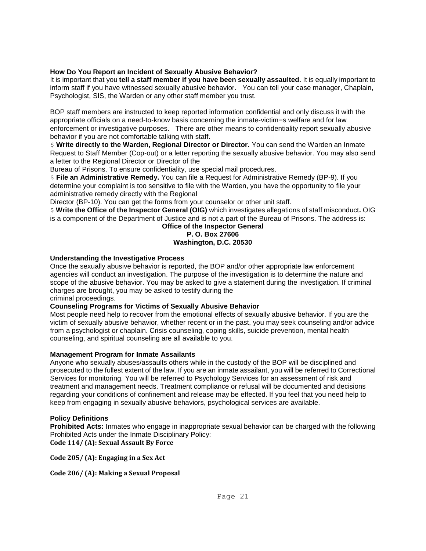#### **How Do You Report an Incident of Sexually Abusive Behavior?**

It is important that you **tell a staff member if you have been sexually assaulted.** It is equally important to inform staff if you have witnessed sexually abusive behavior. You can tell your case manager, Chaplain, Psychologist, SIS, the Warden or any other staff member you trust.

BOP staff members are instructed to keep reported information confidential and only discuss it with the appropriate officials on a need-to-know basis concerning the inmate-victim=s welfare and for law enforcement or investigative purposes. There are other means to confidentiality report sexually abusive behavior if you are not comfortable talking with staff.

\$ **Write directly to the Warden, Regional Director or Director.** You can send the Warden an Inmate Request to Staff Member (Cop-out) or a letter reporting the sexually abusive behavior. You may also send a letter to the Regional Director or Director of the

Bureau of Prisons. To ensure confidentiality, use special mail procedures.

\$ **File an Administrative Remedy.** You can file a Request for Administrative Remedy (BP-9). If you determine your complaint is too sensitive to file with the Warden, you have the opportunity to file your administrative remedy directly with the Regional

Director (BP-10). You can get the forms from your counselor or other unit staff.

\$ **Write the Office of the Inspector General (OIG)** which investigates allegations of staff misconduct**.** OIG is a component of the Department of Justice and is not a part of the Bureau of Prisons. The address is:

#### **Office of the Inspector General P. O. Box 27606 Washington, D.C. 20530**

#### **Understanding the Investigative Process**

Once the sexually abusive behavior is reported, the BOP and/or other appropriate law enforcement agencies will conduct an investigation. The purpose of the investigation is to determine the nature and scope of the abusive behavior. You may be asked to give a statement during the investigation. If criminal charges are brought, you may be asked to testify during the criminal proceedings.

**Counseling Programs for Victims of Sexually Abusive Behavior**

Most people need help to recover from the emotional effects of sexually abusive behavior. If you are the victim of sexually abusive behavior, whether recent or in the past, you may seek counseling and/or advice from a psychologist or chaplain. Crisis counseling, coping skills, suicide prevention, mental health counseling, and spiritual counseling are all available to you.

#### **Management Program for Inmate Assailants**

Anyone who sexually abuses/assaults others while in the custody of the BOP will be disciplined and prosecuted to the fullest extent of the law. If you are an inmate assailant, you will be referred to Correctional Services for monitoring. You will be referred to Psychology Services for an assessment of risk and treatment and management needs. Treatment compliance or refusal will be documented and decisions regarding your conditions of confinement and release may be effected. If you feel that you need help to keep from engaging in sexually abusive behaviors, psychological services are available.

#### **Policy Definitions**

**Prohibited Acts:** Inmates who engage in inappropriate sexual behavior can be charged with the following Prohibited Acts under the Inmate Disciplinary Policy: **Code 114/ (A): Sexual Assault By Force**

**Code 205/ (A): Engaging in a Sex Act**

**Code 206/ (A): Making a Sexual Proposal**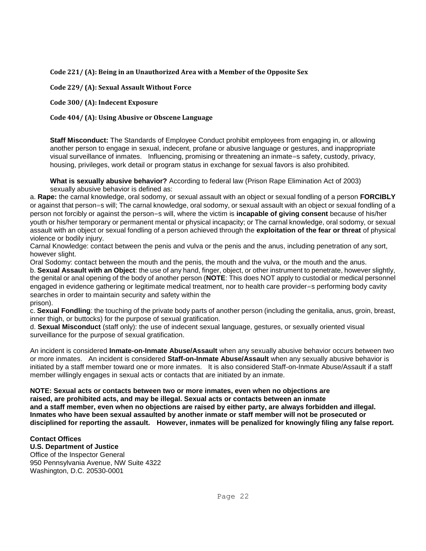**Code 221/ (A): Being in an Unauthorized Area with a Member of the Opposite Sex**

**Code 229/ (A): Sexual Assault Without Force**

**Code 300/ (A): Indecent Exposure**

**Code 404/ (A): Using Abusive or Obscene Language**

**Staff Misconduct:** The Standards of Employee Conduct prohibit employees from engaging in, or allowing another person to engage in sexual, indecent, profane or abusive language or gestures, and inappropriate visual surveillance of inmates. Influencing, promising or threatening an inmate=s safety, custody, privacy, housing, privileges, work detail or program status in exchange for sexual favors is also prohibited.

**What is sexually abusive behavior?** According to federal law (Prison Rape Elimination Act of 2003) sexually abusive behavior is defined as:

a. **Rape:** the carnal knowledge, oral sodomy, or sexual assault with an object or sexual fondling of a person **FORCIBLY**  or against that person=s will; The carnal knowledge, oral sodomy, or sexual assault with an object or sexual fondling of a person not forcibly or against the person=s will, where the victim is **incapable of giving consent** because of his/her youth or his/her temporary or permanent mental or physical incapacity; or The carnal knowledge, oral sodomy, or sexual assault with an object or sexual fondling of a person achieved through the **exploitation of the fear or threat** of physical violence or bodily injury.

Carnal Knowledge: contact between the penis and vulva or the penis and the anus, including penetration of any sort, however slight.

Oral Sodomy: contact between the mouth and the penis, the mouth and the vulva, or the mouth and the anus.

b. **Sexual Assault with an Object**: the use of any hand, finger, object, or other instrument to penetrate, however slightly, the genital or anal opening of the body of another person (**NOTE**: This does NOT apply to custodial or medical personnel engaged in evidence gathering or legitimate medical treatment, nor to health care provider=s performing body cavity searches in order to maintain security and safety within the

prison).

c. **Sexual Fondling**: the touching of the private body parts of another person (including the genitalia, anus, groin, breast, inner thigh, or buttocks) for the purpose of sexual gratification.

d. **Sexual Misconduct** (staff only): the use of indecent sexual language, gestures, or sexually oriented visual surveillance for the purpose of sexual gratification.

An incident is considered **Inmate-on-Inmate Abuse/Assault** when any sexually abusive behavior occurs between two or more inmates. An incident is considered **Staff-on-Inmate Abuse/Assault** when any sexually abusive behavior is initiated by a staff member toward one or more inmates. It is also considered Staff-on-Inmate Abuse/Assault if a staff member willingly engages in sexual acts or contacts that are initiated by an inmate.

**NOTE: Sexual acts or contacts between two or more inmates, even when no objections are raised, are prohibited acts, and may be illegal. Sexual acts or contacts between an inmate and a staff member, even when no objections are raised by either party, are always forbidden and illegal. Inmates who have been sexual assaulted by another inmate or staff member will not be prosecuted or disciplined for reporting the assault. However, inmates will be penalized for knowingly filing any false report.**

#### **Contact Offices**

**U.S. Department of Justice** Office of the Inspector General 950 Pennsylvania Avenue, NW Suite 4322 Washington, D.C. 20530-0001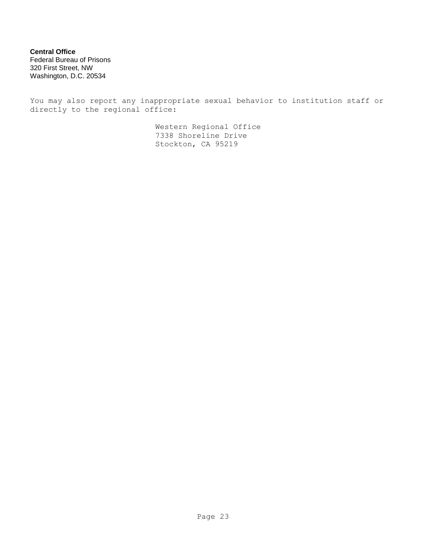**Central Office** Federal Bureau of Prisons 320 First Street, NW Washington, D.C. 20534

You may also report any inappropriate sexual behavior to institution staff or directly to the regional office:

> Western Regional Office 7338 Shoreline Drive Stockton, CA 95219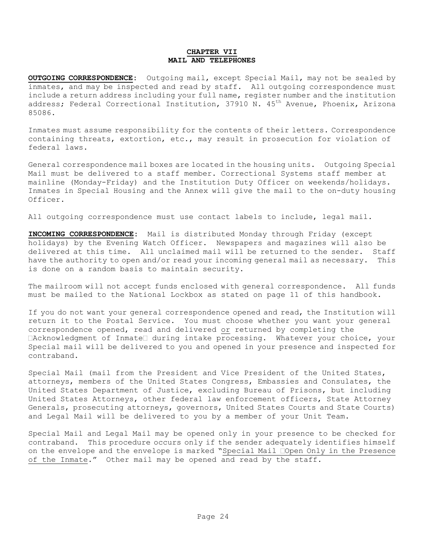#### **CHAPTER VII MAIL AND TELEPHONES**

**OUTGOING CORRESPONDENCE:** Outgoing mail, except Special Mail, may not be sealed by inmates, and may be inspected and read by staff. All outgoing correspondence must include a return address including your full name, register number and the institution address; Federal Correctional Institution, 37910 N. 45<sup>th</sup> Avenue, Phoenix, Arizona 85086.

Inmates must assume responsibility for the contents of their letters. Correspondence containing threats, extortion, etc., may result in prosecution for violation of federal laws.

General correspondence mail boxes are located in the housing units. Outgoing Special Mail must be delivered to a staff member. Correctional Systems staff member at mainline (Monday-Friday) and the Institution Duty Officer on weekends/holidays. Inmates in Special Housing and the Annex will give the mail to the on-duty housing Officer.

All outgoing correspondence must use contact labels to include, legal mail.

**INCOMING CORRESPONDENCE:** Mail is distributed Monday through Friday (except holidays) by the Evening Watch Officer. Newspapers and magazines will also be delivered at this time. All unclaimed mail will be returned to the sender. Staff have the authority to open and/or read your incoming general mail as necessary. This is done on a random basis to maintain security.

The mailroom will not accept funds enclosed with general correspondence. All funds must be mailed to the National Lockbox as stated on page 11 of this handbook.

If you do not want your general correspondence opened and read, the Institution will return it to the Postal Service. You must choose whether you want your general correspondence opened, read and delivered or returned by completing the  $\Box$ Acknowledgment of Inmate $\Box$  during intake processing. Whatever your choice, your Special mail will be delivered to you and opened in your presence and inspected for contraband.

Special Mail (mail from the President and Vice President of the United States, attorneys, members of the United States Congress, Embassies and Consulates, the United States Department of Justice, excluding Bureau of Prisons, but including United States Attorneys, other federal law enforcement officers, State Attorney Generals, prosecuting attorneys, governors, United States Courts and State Courts) and Legal Mail will be delivered to you by a member of your Unit Team.

Special Mail and Legal Mail may be opened only in your presence to be checked for contraband. This procedure occurs only if the sender adequately identifies himself on the envelope and the envelope is marked "Special Mail Open Only in the Presence of the Inmate." Other mail may be opened and read by the staff.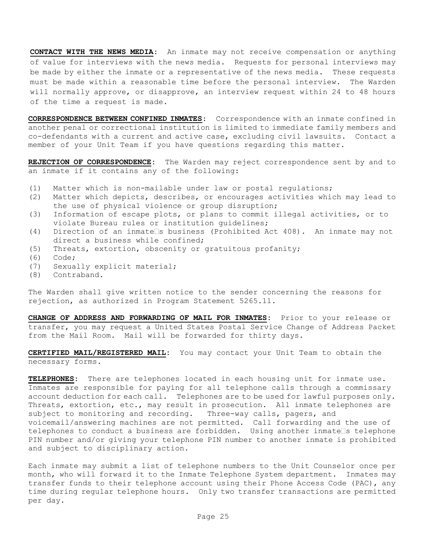**CONTACT WITH THE NEWS MEDIA:** An inmate may not receive compensation or anything of value for interviews with the news media. Requests for personal interviews may be made by either the inmate or a representative of the news media. These requests must be made within a reasonable time before the personal interview. The Warden will normally approve, or disapprove, an interview request within 24 to 48 hours of the time a request is made.

**CORRESPONDENCE BETWEEN CONFINED INMATES:** Correspondence with an inmate confined in another penal or correctional institution is limited to immediate family members and co-defendants with a current and active case, excluding civil lawsuits. Contact a member of your Unit Team if you have questions regarding this matter.

**REJECTION OF CORRESPONDENCE:** The Warden may reject correspondence sent by and to an inmate if it contains any of the following:

- (1) Matter which is non-mailable under law or postal regulations;
- (2) Matter which depicts, describes, or encourages activities which may lead to the use of physical violence or group disruption;
- (3) Information of escape plots, or plans to commit illegal activities, or to violate Bureau rules or institution guidelines;
- (4) Direction of an inmate s business (Prohibited Act 408). An inmate may not direct a business while confined;
- (5) Threats, extortion, obscenity or gratuitous profanity;
- (6) Code;
- (7) Sexually explicit material;
- (8) Contraband.

The Warden shall give written notice to the sender concerning the reasons for rejection, as authorized in Program Statement 5265.11.

**CHANGE OF ADDRESS AND FORWARDING OF MAIL FOR INMATES:** Prior to your release or transfer, you may request a United States Postal Service Change of Address Packet from the Mail Room. Mail will be forwarded for thirty days.

**CERTIFIED MAIL/REGISTERED MAIL:** You may contact your Unit Team to obtain the necessary forms.

**TELEPHONES:** There are telephones located in each housing unit for inmate use. Inmates are responsible for paying for all telephone calls through a commissary account deduction for each call. Telephones are to be used for lawful purposes only. Threats, extortion, etc., may result in prosecution. All inmate telephones are subject to monitoring and recording. Three-way calls, pagers, and voicemail/answering machines are not permitted. Call forwarding and the use of telephones to conduct a business are forbidden. Using another inmate  $\Box$ s telephone PIN number and/or giving your telephone PIN number to another inmate is prohibited and subject to disciplinary action.

Each inmate may submit a list of telephone numbers to the Unit Counselor once per month, who will forward it to the Inmate Telephone System department. Inmates may transfer funds to their telephone account using their Phone Access Code (PAC), any time during regular telephone hours. Only two transfer transactions are permitted per day.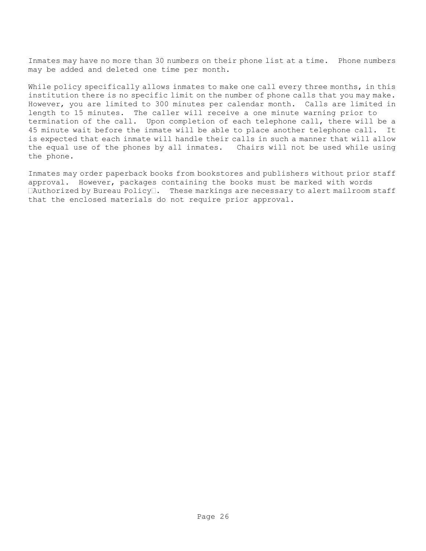Inmates may have no more than 30 numbers on their phone list at a time. Phone numbers may be added and deleted one time per month.

While policy specifically allows inmates to make one call every three months, in this institution there is no specific limit on the number of phone calls that you may make. However, you are limited to 300 minutes per calendar month. Calls are limited in length to 15 minutes. The caller will receive a one minute warning prior to termination of the call. Upon completion of each telephone call, there will be a 45 minute wait before the inmate will be able to place another telephone call. It is expected that each inmate will handle their calls in such a manner that will allow the equal use of the phones by all inmates. Chairs will not be used while using the phone.

Inmates may order paperback books from bookstores and publishers without prior staff approval. However, packages containing the books must be marked with words  $\Box$ Authorized by Bureau Policy $\Box$ . These markings are necessary to alert mailroom staff that the enclosed materials do not require prior approval.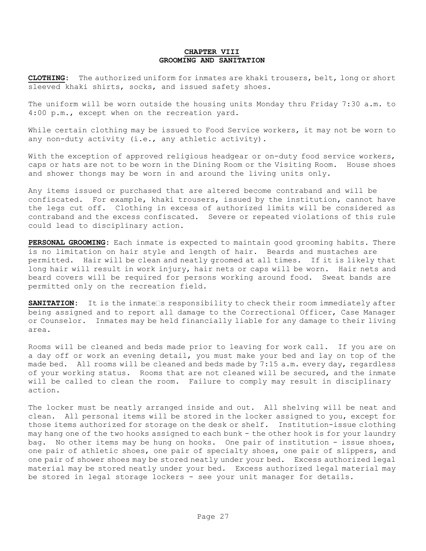#### **CHAPTER VIII GROOMING AND SANITATION**

**CLOTHING:** The authorized uniform for inmates are khaki trousers, belt, long or short sleeved khaki shirts, socks, and issued safety shoes.

The uniform will be worn outside the housing units Monday thru Friday 7:30 a.m. to 4:00 p.m., except when on the recreation yard.

While certain clothing may be issued to Food Service workers, it may not be worn to any non-duty activity (i.e., any athletic activity).

With the exception of approved religious headgear or on-duty food service workers, caps or hats are not to be worn in the Dining Room or the Visiting Room. House shoes and shower thongs may be worn in and around the living units only.

Any items issued or purchased that are altered become contraband and will be confiscated. For example, khaki trousers, issued by the institution, cannot have the legs cut off. Clothing in excess of authorized limits will be considered as contraband and the excess confiscated. Severe or repeated violations of this rule could lead to disciplinary action.

**PERSONAL GROOMING:** Each inmate is expected to maintain good grooming habits. There is no limitation on hair style and length of hair. Beards and mustaches are permitted. Hair will be clean and neatly groomed at all times. If it is likely that long hair will result in work injury, hair nets or caps will be worn. Hair nets and beard covers will be required for persons working around food. Sweat bands are permitted only on the recreation field.

**SANITATION:** It is the inmate<sup>1</sup>s responsibility to check their room immediately after being assigned and to report all damage to the Correctional Officer, Case Manager or Counselor. Inmates may be held financially liable for any damage to their living area.

Rooms will be cleaned and beds made prior to leaving for work call. If you are on a day off or work an evening detail, you must make your bed and lay on top of the made bed. All rooms will be cleaned and beds made by 7:15 a.m. every day, regardless of your working status. Rooms that are not cleaned will be secured, and the inmate will be called to clean the room. Failure to comply may result in disciplinary action.

The locker must be neatly arranged inside and out. All shelving will be neat and clean. All personal items will be stored in the locker assigned to you, except for those items authorized for storage on the desk or shelf. Institution-issue clothing may hang one of the two hooks assigned to each bunk - the other hook is for your laundry bag. No other items may be hung on hooks. One pair of institution - issue shoes, one pair of athletic shoes, one pair of specialty shoes, one pair of slippers, and one pair of shower shoes may be stored neatly under your bed. Excess authorized legal material may be stored neatly under your bed. Excess authorized legal material may be stored in legal storage lockers - see your unit manager for details.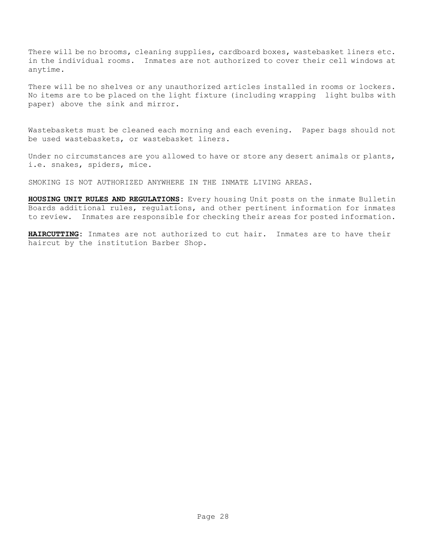There will be no brooms, cleaning supplies, cardboard boxes, wastebasket liners etc. in the individual rooms. Inmates are not authorized to cover their cell windows at anytime.

There will be no shelves or any unauthorized articles installed in rooms or lockers. No items are to be placed on the light fixture (including wrapping light bulbs with paper) above the sink and mirror.

Wastebaskets must be cleaned each morning and each evening. Paper bags should not be used wastebaskets, or wastebasket liners.

Under no circumstances are you allowed to have or store any desert animals or plants, i.e. snakes, spiders, mice.

SMOKING IS NOT AUTHORIZED ANYWHERE IN THE INMATE LIVING AREAS.

**HOUSING UNIT RULES AND REGULATIONS:** Every housing Unit posts on the inmate Bulletin Boards additional rules, regulations, and other pertinent information for inmates to review. Inmates are responsible for checking their areas for posted information.

**HAIRCUTTING:** Inmates are not authorized to cut hair. Inmates are to have their haircut by the institution Barber Shop.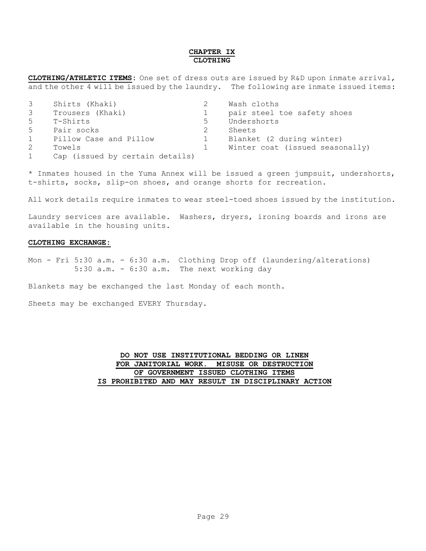#### **CHAPTER IX CLOTHING**

**CLOTHING/ATHLETIC ITEMS:** One set of dress outs are issued by R&D upon inmate arrival, and the other 4 will be issued by the laundry. The following are inmate issued items:

| 3              | Shirts (Khaki)                  |   | Wash cloths                     |
|----------------|---------------------------------|---|---------------------------------|
| 3              | Trousers (Khaki)                |   | pair steel toe safety shoes     |
| 5              | T-Shirts                        | 5 | Undershorts                     |
| 5 <sup>5</sup> | Pair socks                      |   | Sheets                          |
| 1              | Pillow Case and Pillow          |   | Blanket (2 during winter)       |
| 2              | Towels                          |   | Winter coat (issued seasonally) |
|                | Cap (issued by certain details) |   |                                 |

\* Inmates housed in the Yuma Annex will be issued a green jumpsuit, undershorts, t-shirts, socks, slip-on shoes, and orange shorts for recreation.

All work details require inmates to wear steel-toed shoes issued by the institution.

Laundry services are available. Washers, dryers, ironing boards and irons are available in the housing units.

#### **CLOTHING EXCHANGE:**

Mon - Fri 5:30 a.m. - 6:30 a.m. Clothing Drop off (laundering/alterations) 5:30 a.m. - 6:30 a.m. The next working day

Blankets may be exchanged the last Monday of each month.

Sheets may be exchanged EVERY Thursday.

#### **DO NOT USE INSTITUTIONAL BEDDING OR LINEN FOR JANITORIAL WORK. MISUSE OR DESTRUCTION OF GOVERNMENT ISSUED CLOTHING ITEMS IS PROHIBITED AND MAY RESULT IN DISCIPLINARY ACTION**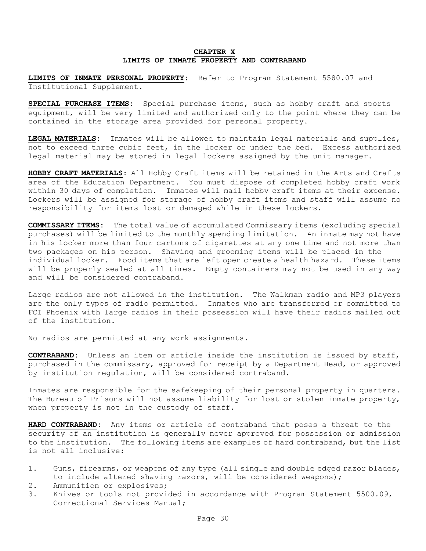#### **CHAPTER X LIMITS OF INMATE PROPERTY AND CONTRABAND**

**LIMITS OF INMATE PERSONAL PROPERTY:** Refer to Program Statement 5580.07 and Institutional Supplement.

**SPECIAL PURCHASE ITEMS:** Special purchase items, such as hobby craft and sports equipment, will be very limited and authorized only to the point where they can be contained in the storage area provided for personal property.

**LEGAL MATERIALS:** Inmates will be allowed to maintain legal materials and supplies, not to exceed three cubic feet, in the locker or under the bed. Excess authorized legal material may be stored in legal lockers assigned by the unit manager.

**HOBBY CRAFT MATERIALS:** All Hobby Craft items will be retained in the Arts and Crafts area of the Education Department. You must dispose of completed hobby craft work within 30 days of completion. Inmates will mail hobby craft items at their expense. Lockers will be assigned for storage of hobby craft items and staff will assume no responsibility for items lost or damaged while in these lockers.

**COMMISSARY ITEMS:** The total value of accumulated Commissary items (excluding special purchases) will be limited to the monthly spending limitation. An inmate may not have in his locker more than four cartons of cigarettes at any one time and not more than two packages on his person. Shaving and grooming items will be placed in the individual locker. Food items that are left open create a health hazard. These items will be properly sealed at all times. Empty containers may not be used in any way and will be considered contraband.

Large radios are not allowed in the institution. The Walkman radio and MP3 players are the only types of radio permitted. Inmates who are transferred or committed to FCI Phoenix with large radios in their possession will have their radios mailed out of the institution.

No radios are permitted at any work assignments.

**CONTRABAND:** Unless an item or article inside the institution is issued by staff, purchased in the commissary, approved for receipt by a Department Head, or approved by institution regulation, will be considered contraband.

Inmates are responsible for the safekeeping of their personal property in quarters. The Bureau of Prisons will not assume liability for lost or stolen inmate property, when property is not in the custody of staff.

**HARD CONTRABAND:** Any items or article of contraband that poses a threat to the security of an institution is generally never approved for possession or admission to the institution. The following items are examples of hard contraband, but the list is not all inclusive:

- 1. Guns, firearms, or weapons of any type (all single and double edged razor blades, to include altered shaving razors, will be considered weapons);
- 2. Ammunition or explosives;
- 3. Knives or tools not provided in accordance with Program Statement 5500.09, Correctional Services Manual;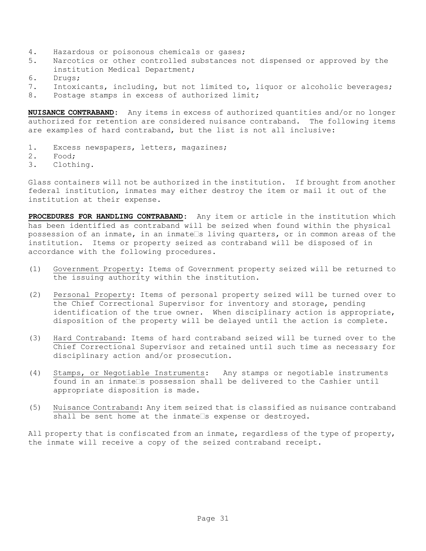- 4. Hazardous or poisonous chemicals or gases;
- 5. Narcotics or other controlled substances not dispensed or approved by the institution Medical Department;
- 6. Drugs;
- 7. Intoxicants, including, but not limited to, liquor or alcoholic beverages;
- 8. Postage stamps in excess of authorized limit;

**NUISANCE CONTRABAND:** Any items in excess of authorized quantities and/or no longer authorized for retention are considered nuisance contraband. The following items are examples of hard contraband, but the list is not all inclusive:

- 1. Excess newspapers, letters, magazines;
- 2. Food;
- 3. Clothing.

Glass containers will not be authorized in the institution. If brought from another federal institution, inmates may either destroy the item or mail it out of the institution at their expense.

**PROCEDURES FOR HANDLING CONTRABAND:** Any item or article in the institution which has been identified as contraband will be seized when found within the physical possession of an inmate, in an inmate  $\Box$ s living quarters, or in common areas of the institution. Items or property seized as contraband will be disposed of in accordance with the following procedures.

- (1) Government Property: Items of Government property seized will be returned to the issuing authority within the institution.
- (2) Personal Property: Items of personal property seized will be turned over to the Chief Correctional Supervisor for inventory and storage, pending identification of the true owner. When disciplinary action is appropriate, disposition of the property will be delayed until the action is complete.
- (3) Hard Contraband: Items of hard contraband seized will be turned over to the Chief Correctional Supervisor and retained until such time as necessary for disciplinary action and/or prosecution.
- (4) Stamps, or Negotiable Instruments: Any stamps or negotiable instruments found in an inmate s possession shall be delivered to the Cashier until appropriate disposition is made.
- (5) Nuisance Contraband: Any item seized that is classified as nuisance contraband shall be sent home at the inmate $\square$ s expense or destroyed.

All property that is confiscated from an inmate, regardless of the type of property, the inmate will receive a copy of the seized contraband receipt.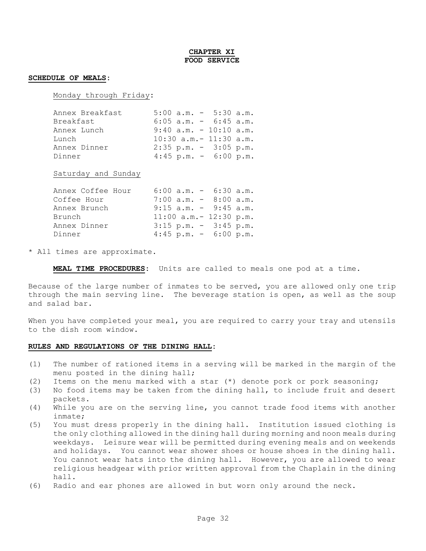#### **CHAPTER XI FOOD SERVICE**

#### **SCHEDULE OF MEALS:**

Monday through Friday**:**

| Annex Breakfast | $5:00$ a.m. $-$ 5:30 a.m.   |
|-----------------|-----------------------------|
| Breakfast       | $6:05$ a.m. - $6:45$ a.m.   |
| Annex Lunch     | $9:40$ a.m. - 10:10 a.m.    |
| Lunch           | $10:30$ a.m. - $11:30$ a.m. |
| Annex Dinner    | $2:35$ p.m. - $3:05$ p.m.   |
| Dinner          | $4:45$ p.m. - 6:00 p.m.     |

Saturday and Sunday

| Annex Coffee Hour | $6:00$ a.m. $-$ 6:30 a.m.   |  |
|-------------------|-----------------------------|--|
| Coffee Hour       | $7:00$ a.m. $-$ 8:00 a.m.   |  |
| Annex Brunch      | $9:15$ a.m. - $9:45$ a.m.   |  |
| Brunch            | $11:00$ a.m. - $12:30$ p.m. |  |
| Annex Dinner      | $3:15$ p.m. - $3:45$ p.m.   |  |
| Dinner            | $4:45$ p.m. - 6:00 p.m.     |  |

\* All times are approximate.

**MEAL TIME PROCEDURES:** Units are called to meals one pod at a time.

Because of the large number of inmates to be served, you are allowed only one trip through the main serving line. The beverage station is open, as well as the soup and salad bar.

When you have completed your meal, you are required to carry your tray and utensils to the dish room window.

#### **RULES AND REGULATIONS OF THE DINING HALL:**

- (1) The number of rationed items in a serving will be marked in the margin of the menu posted in the dining hall;
- (2) Items on the menu marked with a star (\*) denote pork or pork seasoning;
- (3) No food items may be taken from the dining hall, to include fruit and desert packets.
- (4) While you are on the serving line, you cannot trade food items with another inmate;
- (5) You must dress properly in the dining hall. Institution issued clothing is the only clothing allowed in the dining hall during morning and noon meals during weekdays. Leisure wear will be permitted during evening meals and on weekends and holidays. You cannot wear shower shoes or house shoes in the dining hall. You cannot wear hats into the dining hall. However, you are allowed to wear religious headgear with prior written approval from the Chaplain in the dining hall.
- (6) Radio and ear phones are allowed in but worn only around the neck.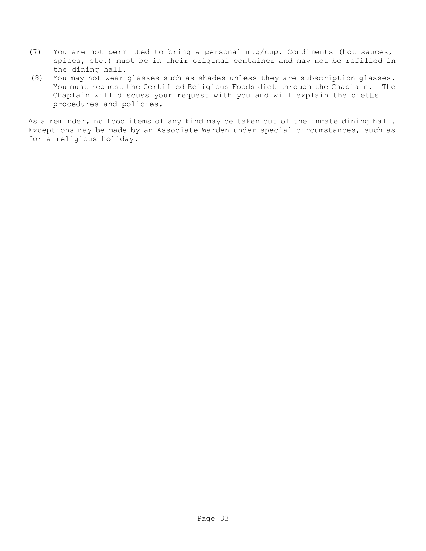- (7) You are not permitted to bring a personal mug/cup. Condiments (hot sauces, spices, etc.) must be in their original container and may not be refilled in the dining hall.
- (8) You may not wear glasses such as shades unless they are subscription glasses. You must request the Certified Religious Foods diet through the Chaplain. The Chaplain will discuss your request with you and will explain the diet  $\Box$ s procedures and policies.

As a reminder, no food items of any kind may be taken out of the inmate dining hall. Exceptions may be made by an Associate Warden under special circumstances, such as for a religious holiday.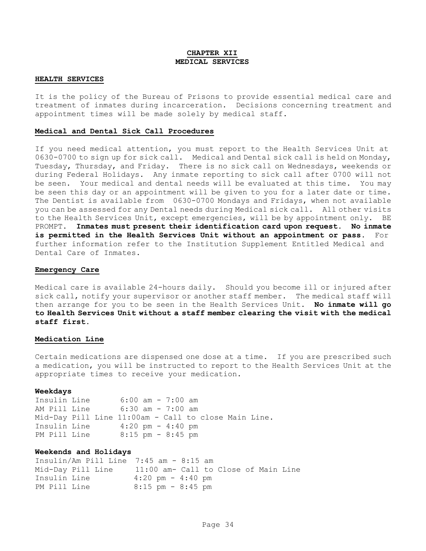#### **CHAPTER XII MEDICAL SERVICES**

#### **HEALTH SERVICES**

It is the policy of the Bureau of Prisons to provide essential medical care and treatment of inmates during incarceration. Decisions concerning treatment and appointment times will be made solely by medical staff.

#### **Medical and Dental Sick Call Procedures**

If you need medical attention, you must report to the Health Services Unit at 0630-0700 to sign up for sick call. Medical and Dental sick call is held on Monday, Tuesday, Thursday, and Friday. There is no sick call on Wednesdays, weekends or during Federal Holidays. Any inmate reporting to sick call after 0700 will not be seen. Your medical and dental needs will be evaluated at this time. You may be seen this day or an appointment will be given to you for a later date or time. The Dentist is available from 0630-0700 Mondays and Fridays, when not available you can be assessed for any Dental needs during Medical sick call. All other visits to the Health Services Unit, except emergencies, will be by appointment only. BE PROMPT. **Inmates must present their identification card upon request. No inmate is permitted in the Health Services Unit without an appointment or pass**. For further information refer to the Institution Supplement Entitled Medical and Dental Care of Inmates.

#### **Emergency Care**

Medical care is available 24-hours daily. Should you become ill or injured after sick call, notify your supervisor or another staff member. The medical staff will then arrange for you to be seen in the Health Services Unit. **No inmate will go to Health Services Unit without a staff member clearing the visit with the medical staff first.**

#### **Medication Line**

Certain medications are dispensed one dose at a time. If you are prescribed such a medication, you will be instructed to report to the Health Services Unit at the appropriate times to receive your medication.

#### **Weekdays**

Insulin Line 6:00 am - 7:00 am AM Pill Line 6:30 am - 7:00 am Mid-Day Pill Line 11:00am - Call to close Main Line. Insulin Line 4:20 pm - 4:40 pm PM Pill Line 8:15 pm - 8:45 pm

#### **Weekends and Holidays**

Insulin/Am Pill Line 7:45 am - 8:15 am Mid-Day Pill Line 11:00 am- Call to Close of Main Line Insulin Line 4:20 pm - 4:40 pm PM Pill Line 8:15 pm - 8:45 pm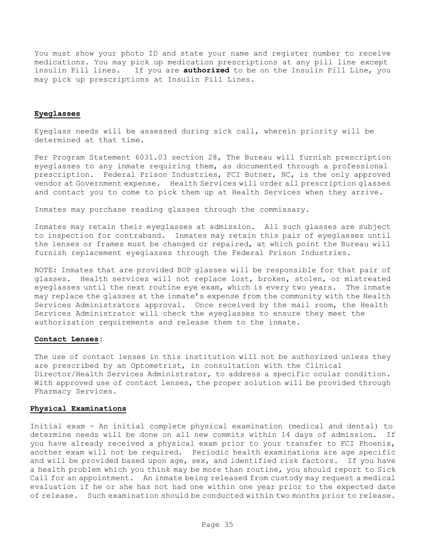You must show your photo ID and state your name and register number to receive medications. You may pick up medication prescriptions at any pill line except insulin Pill lines. If you are **authorized** to be on the Insulin Pill Line, you may pick up prescriptions at Insulin Pill Lines.

#### **Eyeglasses**

Eyeglass needs will be assessed during sick call, wherein priority will be determined at that time.

Per Program Statement 6031.03 section 28, The Bureau will furnish prescription eyeglasses to any inmate requiring them, as documented through a professional prescription. Federal Prison Industries, FCI Butner, NC, is the only approved vendor at Government expense. Health Services will order all prescription glasses and contact you to come to pick them up at Health Services when they arrive.

Inmates may purchase reading glasses through the commissary.

Inmates may retain their eyeglasses at admission. All such glasses are subject to inspection for contraband. Inmates may retain this pair of eyeglasses until the lenses or frames must be changed or repaired, at which point the Bureau will furnish replacement eyeglasses through the Federal Prison Industries.

NOTE: Inmates that are provided BOP glasses will be responsible for that pair of glasses. Health services will not replace lost, broken, stolen, or mistreated eyeglasses until the next routine eye exam, which is every two years. The inmate may replace the glasses at the inmate's expense from the community with the Health Services Administrators approval. Once received by the mail room, the Health Services Administrator will check the eyeglasses to ensure they meet the authorization requirements and release them to the inmate.

#### **Contact Lenses:**

The use of contact lenses in this institution will not be authorized unless they are prescribed by an Optometrist, in consultation with the Clinical Director/Health Services Administrator, to address a specific ocular condition. With approved use of contact lenses, the proper solution will be provided through Pharmacy Services.

#### **Physical Examinations**

Initial exam - An initial complete physical examination (medical and dental) to determine needs will be done on all new commits within 14 days of admission. If you have already received a physical exam prior to your transfer to FCI Phoenix, another exam will not be required. Periodic health examinations are age specific and will be provided based upon age, sex, and identified risk factors. If you have a health problem which you think may be more than routine, you should report to Sick Call for an appointment. An inmate being released from custody may request a medical evaluation if he or she has not had one within one year prior to the expected date of release. Such examination should be conducted within two months prior to release.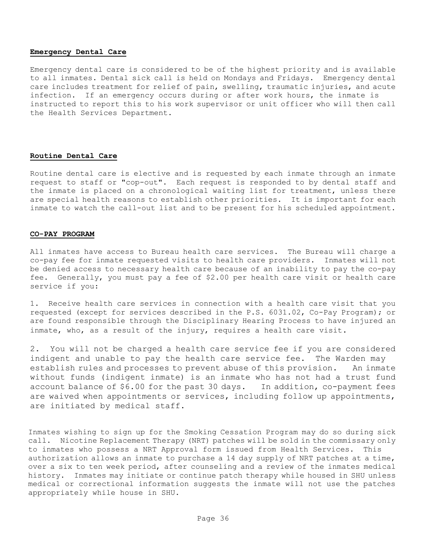#### **Emergency Dental Care**

Emergency dental care is considered to be of the highest priority and is available to all inmates. Dental sick call is held on Mondays and Fridays. Emergency dental care includes treatment for relief of pain, swelling, traumatic injuries, and acute infection. If an emergency occurs during or after work hours, the inmate is instructed to report this to his work supervisor or unit officer who will then call the Health Services Department.

#### **Routine Dental Care**

Routine dental care is elective and is requested by each inmate through an inmate request to staff or "cop-out". Each request is responded to by dental staff and the inmate is placed on a chronological waiting list for treatment, unless there are special health reasons to establish other priorities. It is important for each inmate to watch the call-out list and to be present for his scheduled appointment.

#### **CO-PAY PROGRAM**

All inmates have access to Bureau health care services. The Bureau will charge a co-pay fee for inmate requested visits to health care providers. Inmates will not be denied access to necessary health care because of an inability to pay the co-pay fee. Generally, you must pay a fee of \$2.00 per health care visit or health care service if you:

1. Receive health care services in connection with a health care visit that you requested (except for services described in the P.S. 6031.02, Co-Pay Program); or are found responsible through the Disciplinary Hearing Process to have injured an inmate, who, as a result of the injury, requires a health care visit.

2. You will not be charged a health care service fee if you are considered indigent and unable to pay the health care service fee. The Warden may establish rules and processes to prevent abuse of this provision. An inmate without funds (indigent inmate) is an inmate who has not had a trust fund account balance of \$6.00 for the past 30 days. In addition, co-payment fees are waived when appointments or services, including follow up appointments, are initiated by medical staff.

Inmates wishing to sign up for the Smoking Cessation Program may do so during sick call. Nicotine Replacement Therapy (NRT) patches will be sold in the commissary only to inmates who possess a NRT Approval form issued from Health Services. This authorization allows an inmate to purchase a 14 day supply of NRT patches at a time, over a six to ten week period, after counseling and a review of the inmates medical history. Inmates may initiate or continue patch therapy while housed in SHU unless medical or correctional information suggests the inmate will not use the patches appropriately while house in SHU.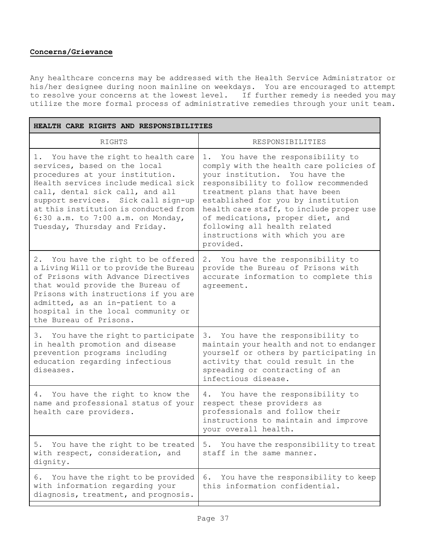#### **Concerns/Grievance**

Any healthcare concerns may be addressed with the Health Service Administrator or his/her designee during noon mainline on weekdays. You are encouraged to attempt to resolve your concerns at the lowest level. If further remedy is needed you may utilize the more formal process of administrative remedies through your unit team**.**

| HEALTH CARE RIGHTS AND RESPONSIBILITIES                                                                                                                                                                                                                                                                                               |                                                                                                                                                                                                                                                                                                                                                                                                |  |  |  |
|---------------------------------------------------------------------------------------------------------------------------------------------------------------------------------------------------------------------------------------------------------------------------------------------------------------------------------------|------------------------------------------------------------------------------------------------------------------------------------------------------------------------------------------------------------------------------------------------------------------------------------------------------------------------------------------------------------------------------------------------|--|--|--|
| RIGHTS                                                                                                                                                                                                                                                                                                                                | RESPONSIBILITIES                                                                                                                                                                                                                                                                                                                                                                               |  |  |  |
| You have the right to health care<br>services, based on the local<br>procedures at your institution.<br>Health services include medical sick<br>call, dental sick call, and all<br>support services. Sick call sign-up<br>at this institution is conducted from<br>6:30 a.m. to 7:00 a.m. on Monday,<br>Tuesday, Thursday and Friday. | 1. You have the responsibility to<br>comply with the health care policies of<br>your institution. You have the<br>responsibility to follow recommended<br>treatment plans that have been<br>established for you by institution<br>health care staff, to include proper use<br>of medications, proper diet, and<br>following all health related<br>instructions with which you are<br>provided. |  |  |  |
| 2. You have the right to be offered<br>a Living Will or to provide the Bureau<br>of Prisons with Advance Directives<br>that would provide the Bureau of<br>Prisons with instructions if you are<br>admitted, as an in-patient to a<br>hospital in the local community or<br>the Bureau of Prisons.                                    | 2. You have the responsibility to<br>provide the Bureau of Prisons with<br>accurate information to complete this<br>agreement.                                                                                                                                                                                                                                                                 |  |  |  |
| 3. You have the right to participate<br>in health promotion and disease<br>prevention programs including<br>education regarding infectious<br>diseases.                                                                                                                                                                               | You have the responsibility to<br>3.<br>maintain your health and not to endanger<br>yourself or others by participating in<br>activity that could result in the<br>spreading or contracting of an<br>infectious disease.                                                                                                                                                                       |  |  |  |
| You have the right to know the<br>4.<br>name and professional status of your<br>health care providers.                                                                                                                                                                                                                                | You have the responsibility to<br>4.<br>respect these providers as<br>professionals and follow their<br>instructions to maintain and improve<br>your overall health.                                                                                                                                                                                                                           |  |  |  |
| You have the right to be treated<br>5.<br>with respect, consideration, and<br>dignity.                                                                                                                                                                                                                                                | You have the responsibility to treat<br>5.<br>staff in the same manner.                                                                                                                                                                                                                                                                                                                        |  |  |  |
| You have the right to be provided<br>6.<br>with information regarding your<br>diagnosis, treatment, and prognosis.                                                                                                                                                                                                                    | You have the responsibility to keep<br>6.<br>this information confidential.                                                                                                                                                                                                                                                                                                                    |  |  |  |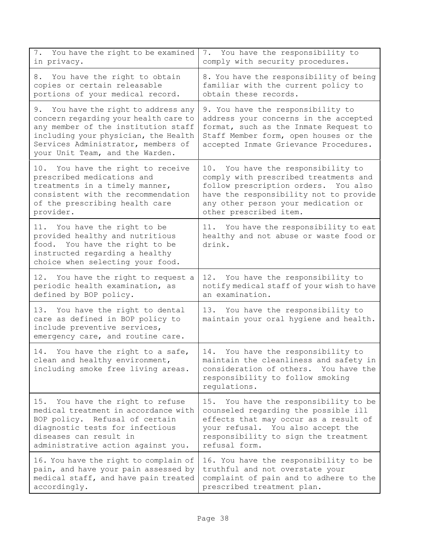| 7. You have the right to be examined<br>in privacy.                                                                                                                                                                                   | 7. You have the responsibility to<br>comply with security procedures.                                                                                                                                                          |
|---------------------------------------------------------------------------------------------------------------------------------------------------------------------------------------------------------------------------------------|--------------------------------------------------------------------------------------------------------------------------------------------------------------------------------------------------------------------------------|
| 8. You have the right to obtain<br>copies or certain releasable<br>portions of your medical record.                                                                                                                                   | 8. You have the responsibility of being<br>familiar with the current policy to<br>obtain these records.                                                                                                                        |
| 9. You have the right to address any<br>concern regarding your health care to<br>any member of the institution staff<br>including your physician, the Health<br>Services Administrator, members of<br>your Unit Team, and the Warden. | 9. You have the responsibility to<br>address your concerns in the accepted<br>format, such as the Inmate Request to<br>Staff Member form, open houses or the<br>accepted Inmate Grievance Procedures.                          |
| 10. You have the right to receive<br>prescribed medications and<br>treatments in a timely manner,<br>consistent with the recommendation<br>of the prescribing health care<br>provider.                                                | 10. You have the responsibility to<br>comply with prescribed treatments and<br>follow prescription orders. You also<br>have the responsibility not to provide<br>any other person your medication or<br>other prescribed item. |
| 11. You have the right to be<br>provided healthy and nutritious<br>food. You have the right to be<br>instructed regarding a healthy<br>choice when selecting your food.                                                               | 11. You have the responsibility to eat<br>healthy and not abuse or waste food or<br>drink.                                                                                                                                     |
| 12. You have the right to request a<br>periodic health examination, as<br>defined by BOP policy.                                                                                                                                      | You have the responsibility to<br>12.<br>notify medical staff of your wish to have<br>an examination.                                                                                                                          |
| 13. You have the right to dental<br>care as defined in BOP policy to<br>include preventive services,<br>emergency care, and routine care.                                                                                             | 13. You have the responsibility to<br>maintain your oral hygiene and health.                                                                                                                                                   |
| 14. You have the right to a safe,<br>clean and healthy environment,<br>including smoke free living areas.                                                                                                                             | You have the responsibility to<br>14.<br>maintain the cleanliness and safety in<br>consideration of others.<br>You have the<br>responsibility to follow smoking<br>regulations.                                                |
| 15. You have the right to refuse<br>medical treatment in accordance with<br>BOP policy. Refusal of certain<br>diagnostic tests for infectious<br>diseases can result in<br>administrative action against you.                         | You have the responsibility to be<br>15.<br>counseled regarding the possible ill<br>effects that may occur as a result of<br>your refusal. You also accept the<br>responsibility to sign the treatment<br>refusal form.        |
| 16. You have the right to complain of<br>pain, and have your pain assessed by<br>medical staff, and have pain treated<br>accordingly.                                                                                                 | 16. You have the responsibility to be<br>truthful and not overstate your<br>complaint of pain and to adhere to the<br>prescribed treatment plan.                                                                               |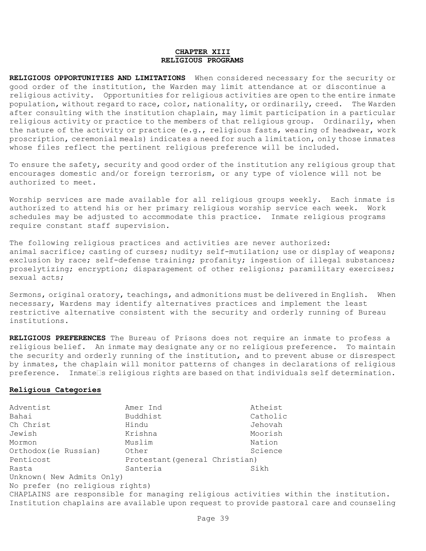#### **CHAPTER XIII RELIGIOUS PROGRAMS**

**RELIGIOUS OPPORTUNITIES AND LIMITATIONS** When considered necessary for the security or good order of the institution, the Warden may limit attendance at or discontinue a religious activity. Opportunities for religious activities are open to the entire inmate population, without regard to race, color, nationality, or ordinarily, creed. The Warden after consulting with the institution chaplain, may limit participation in a particular religious activity or practice to the members of that religious group. Ordinarily, when the nature of the activity or practice (e.g., religious fasts, wearing of headwear, work proscription, ceremonial meals) indicates a need for such a limitation, only those inmates whose files reflect the pertinent religious preference will be included.

To ensure the safety, security and good order of the institution any religious group that encourages domestic and/or foreign terrorism, or any type of violence will not be authorized to meet.

Worship services are made available for all religious groups weekly. Each inmate is authorized to attend his or her primary religious worship service each week. Work schedules may be adjusted to accommodate this practice. Inmate religious programs require constant staff supervision.

The following religious practices and activities are never authorized: animal sacrifice; casting of curses; nudity; self-mutilation; use or display of weapons; exclusion by race; self-defense training; profanity; ingestion of illegal substances; proselytizing; encryption; disparagement of other religions; paramilitary exercises; sexual acts;

Sermons, original oratory, teachings, and admonitions must be delivered in English. When necessary, Wardens may identify alternatives practices and implement the least restrictive alternative consistent with the security and orderly running of Bureau institutions.

**RELIGIOUS PREFERENCES** The Bureau of Prisons does not require an inmate to profess a religious belief. An inmate may designate any or no religious preference. To maintain the security and orderly running of the institution, and to prevent abuse or disrespect by inmates, the chaplain will monitor patterns of changes in declarations of religious  $preference.$  Inmate  $\Box$ s religious rights are based on that individuals self determination.

#### **Religious Categories**

| Adventist                                                                                | Amer Ind                       | Atheist  |  |  |
|------------------------------------------------------------------------------------------|--------------------------------|----------|--|--|
| Bahai                                                                                    | Buddhist                       | Catholic |  |  |
| Ch Christ                                                                                | Hindu                          | Jehovah  |  |  |
| Jewish                                                                                   | Krishna                        | Moorish  |  |  |
| Mormon                                                                                   | Muslim                         | Nation   |  |  |
| Orthodox(ie Russian)                                                                     | Other                          | Science  |  |  |
| Penticost                                                                                | Protestant (general Christian) |          |  |  |
| Rasta                                                                                    | Santeria                       | Sikh     |  |  |
| Unknown ( New Admits Only)                                                               |                                |          |  |  |
| No prefer (no religious rights)                                                          |                                |          |  |  |
| CHAPLAINS are responsible for managing religious activities within the institution.      |                                |          |  |  |
| Institution chaplains are available upon request to provide pastoral care and counseling |                                |          |  |  |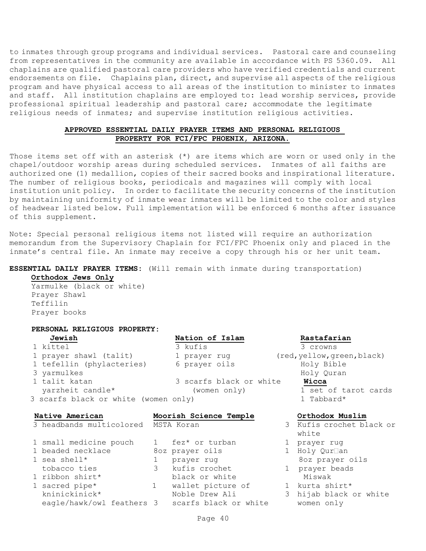to inmates through group programs and individual services. Pastoral care and counseling from representatives in the community are available in accordance with PS 5360.09. All chaplains are qualified pastoral care providers who have verified credentials and current endorsements on file. Chaplains plan, direct, and supervise all aspects of the religious program and have physical access to all areas of the institution to minister to inmates and staff. All institution chaplains are employed to: lead worship services, provide professional spiritual leadership and pastoral care; accommodate the legitimate religious needs of inmates; and supervise institution religious activities.

#### **APPROVED ESSENTIAL DAILY PRAYER ITEMS AND PERSONAL RELIGIOUS PROPERTY FOR FCI/FPC PHOENIX, ARIZONA.**

Those items set off with an asterisk (\*) are items which are worn or used only in the chapel/outdoor worship areas during scheduled services. Inmates of all faiths are authorized one (1) medallion, copies of their sacred books and inspirational literature. The number of religious books, periodicals and magazines will comply with local institution unit policy. In order to facilitate the security concerns of the institution by maintaining uniformity of inmate wear inmates will be limited to the color and styles of headwear listed below. Full implementation will be enforced 6 months after issuance of this supplement.

Note: Special personal religious items not listed will require an authorization memorandum from the Supervisory Chaplain for FCI/FPC Phoenix only and placed in the inmate's central file. An inmate may receive a copy through his or her unit team.

#### **ESSENTIAL DAILY PRAYER ITEMS:** (Will remain with inmate during transportation)

**Orthodox Jews Only**

Yarmulke (black or white) Prayer Shawl Teffilin Prayer books

#### **PERSONAL RELIGIOUS PROPERTY:**

| Jewish                                                   | Nation of Islam         | Rastafarian                        |
|----------------------------------------------------------|-------------------------|------------------------------------|
| 1 kittel                                                 | 3 kufis                 | 3 crowns                           |
| 1 prayer shawl (talit)                                   | 1 prayer rug            | (red, yellow, green, black)        |
| 1 tefellin (phylacteries)                                | 6 prayer oils           | Holy Bible                         |
| 3 yarmulkes                                              |                         | Holy Quran                         |
| 1 talit katan                                            | 3 scarfs black or white | Wicca                              |
| yarzheit candle*<br>3 scarfs black or white (women only) | (women only)            | 1 set of tarot cards<br>1 Tabbard* |

white

# **Native American Moorish Science Temple Orthodox Muslim** 3 headbands multicolored MSTA Koran 3 Kufis crochet black or 1 small medicine pouch 1 fez\* or turban 1 prayer rug 1 beaded necklace and 8oz prayer oils 1 Holy Qur an 1 sea shell\* 1 prayer rug 1 8oz prayer oils

 tobacco ties 3 kufis crochet 1 prayer beads 1 ribbon shirt\* black or white Miswak 1 sacred pipe\* 1 wallet picture of 1 kurta shirt\* kninickinick\* Noble Drew Ali 3 hijab black or white eagle/hawk/owl feathers 3 scarfs black or white women only

## Page 40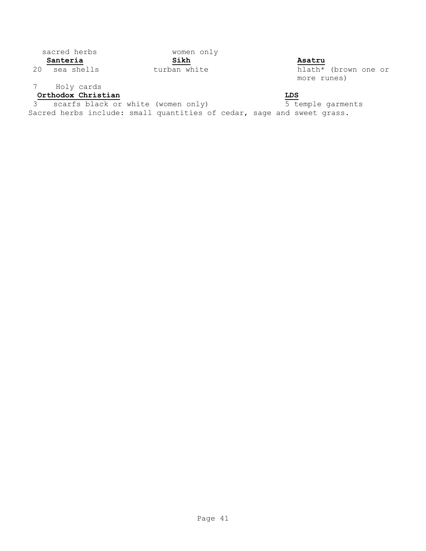# sacred herbs women only

# 7 Holy cards

# **Orthodox Christian LDS**

3 scarfs black or white (women only) 5 temple garments Sacred herbs include: small quantities of cedar, sage and sweet grass.

**Santeria Sikh Asatru**

20 sea shells **turban white** turban white hlath\* (brown one or more runes)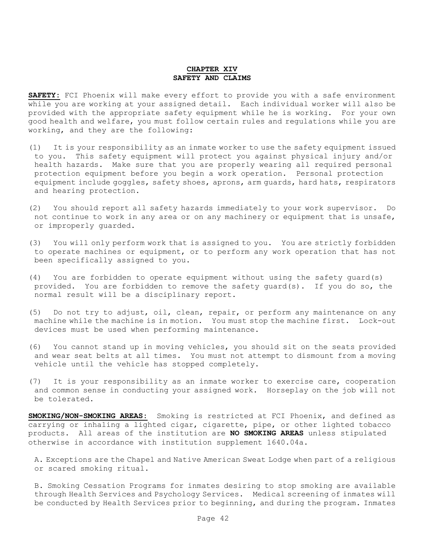#### **CHAPTER XIV SAFETY AND CLAIMS**

**SAFETY:** FCI Phoenix will make every effort to provide you with a safe environment while you are working at your assigned detail. Each individual worker will also be provided with the appropriate safety equipment while he is working. For your own good health and welfare, you must follow certain rules and regulations while you are working, and they are the following:

- (1) It is your responsibility as an inmate worker to use the safety equipment issued to you. This safety equipment will protect you against physical injury and/or health hazards. Make sure that you are properly wearing all required personal protection equipment before you begin a work operation. Personal protection equipment include goggles, safety shoes, aprons, arm guards, hard hats, respirators and hearing protection.
- (2) You should report all safety hazards immediately to your work supervisor. Do not continue to work in any area or on any machinery or equipment that is unsafe, or improperly guarded.
- (3) You will only perform work that is assigned to you. You are strictly forbidden to operate machines or equipment, or to perform any work operation that has not been specifically assigned to you.
- (4) You are forbidden to operate equipment without using the safety guard(s) provided. You are forbidden to remove the safety guard(s). If you do so, the normal result will be a disciplinary report.
- (5) Do not try to adjust, oil, clean, repair, or perform any maintenance on any machine while the machine is in motion. You must stop the machine first. Lock-out devices must be used when performing maintenance.
- (6) You cannot stand up in moving vehicles, you should sit on the seats provided and wear seat belts at all times. You must not attempt to dismount from a moving vehicle until the vehicle has stopped completely.
- (7) It is your responsibility as an inmate worker to exercise care, cooperation and common sense in conducting your assigned work. Horseplay on the job will not be tolerated.

**SMOKING/NON-SMOKING AREAS:** Smoking is restricted at FCI Phoenix, and defined as carrying or inhaling a lighted cigar, cigarette, pipe, or other lighted tobacco products. All areas of the institution are **NO SMOKING AREAS** unless stipulated otherwise in accordance with institution supplement 1640.04a.

A. Exceptions are the Chapel and Native American Sweat Lodge when part of a religious or scared smoking ritual.

B. Smoking Cessation Programs for inmates desiring to stop smoking are available through Health Services and Psychology Services. Medical screening of inmates will be conducted by Health Services prior to beginning, and during the program. Inmates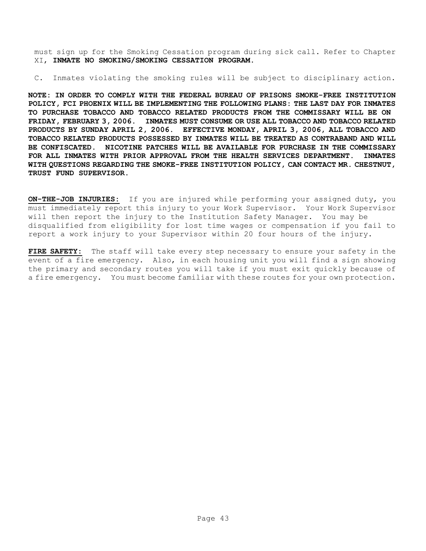must sign up for the Smoking Cessation program during sick call. Refer to Chapter XI, **INMATE NO SMOKING/SMOKING CESSATION PROGRAM.**

C. Inmates violating the smoking rules will be subject to disciplinary action.

**NOTE: IN ORDER TO COMPLY WITH THE FEDERAL BUREAU OF PRISONS SMOKE-FREE INSTITUTION POLICY, FCI PHOENIX WILL BE IMPLEMENTING THE FOLLOWING PLANS: THE LAST DAY FOR INMATES TO PURCHASE TOBACCO AND TOBACCO RELATED PRODUCTS FROM THE COMMISSARY WILL BE ON FRIDAY, FEBRUARY 3, 2006. INMATES MUST CONSUME OR USE ALL TOBACCO AND TOBACCO RELATED PRODUCTS BY SUNDAY APRIL 2, 2006. EFFECTIVE MONDAY, APRIL 3, 2006, ALL TOBACCO AND TOBACCO RELATED PRODUCTS POSSESSED BY INMATES WILL BE TREATED AS CONTRABAND AND WILL BE CONFISCATED. NICOTINE PATCHES WILL BE AVAILABLE FOR PURCHASE IN THE COMMISSARY FOR ALL INMATES WITH PRIOR APPROVAL FROM THE HEALTH SERVICES DEPARTMENT. INMATES WITH QUESTIONS REGARDING THE SMOKE-FREE INSTITUTION POLICY, CAN CONTACT MR. CHESTNUT, TRUST FUND SUPERVISOR.** 

**ON-THE-JOB INJURIES:** If you are injured while performing your assigned duty, you must immediately report this injury to your Work Supervisor. Your Work Supervisor will then report the injury to the Institution Safety Manager. You may be disqualified from eligibility for lost time wages or compensation if you fail to report a work injury to your Supervisor within 20 four hours of the injury.

**FIRE SAFETY:** The staff will take every step necessary to ensure your safety in the event of a fire emergency. Also, in each housing unit you will find a sign showing the primary and secondary routes you will take if you must exit quickly because of a fire emergency. You must become familiar with these routes for your own protection.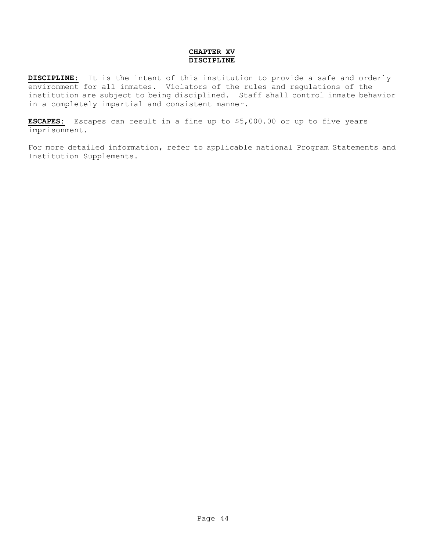#### **CHAPTER XV DISCIPLINE**

**DISCIPLINE:** It is the intent of this institution to provide a safe and orderly environment for all inmates. Violators of the rules and regulations of the institution are subject to being disciplined. Staff shall control inmate behavior in a completely impartial and consistent manner.

**ESCAPES:** Escapes can result in a fine up to \$5,000.00 or up to five years imprisonment.

For more detailed information, refer to applicable national Program Statements and Institution Supplements.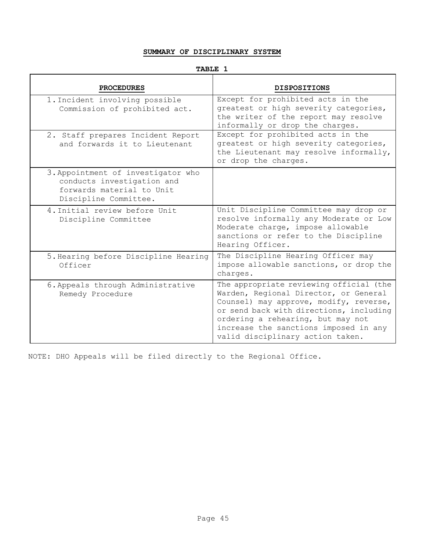#### **SUMMARY OF DISCIPLINARY SYSTEM**

## **TABLE 1**

| <b>PROCEDURES</b>                                                                                                      | <b>DISPOSITIONS</b>                                                                                                                                                                                                                                                                     |
|------------------------------------------------------------------------------------------------------------------------|-----------------------------------------------------------------------------------------------------------------------------------------------------------------------------------------------------------------------------------------------------------------------------------------|
| 1. Incident involving possible<br>Commission of prohibited act.                                                        | Except for prohibited acts in the<br>greatest or high severity categories,<br>the writer of the report may resolve<br>informally or drop the charges.                                                                                                                                   |
| 2. Staff prepares Incident Report<br>and forwards it to Lieutenant                                                     | Except for prohibited acts in the<br>greatest or high severity categories,<br>the Lieutenant may resolve informally,<br>or drop the charges.                                                                                                                                            |
| 3. Appointment of investigator who<br>conducts investigation and<br>forwards material to Unit<br>Discipline Committee. |                                                                                                                                                                                                                                                                                         |
| 4. Initial review before Unit<br>Discipline Committee                                                                  | Unit Discipline Committee may drop or<br>resolve informally any Moderate or Low<br>Moderate charge, impose allowable<br>sanctions or refer to the Discipline<br>Hearing Officer.                                                                                                        |
| 5. Hearing before Discipline Hearing<br>Officer                                                                        | The Discipline Hearing Officer may<br>impose allowable sanctions, or drop the<br>charges.                                                                                                                                                                                               |
| 6. Appeals through Administrative<br>Remedy Procedure                                                                  | The appropriate reviewing official (the<br>Warden, Regional Director, or General<br>Counsel) may approve, modify, reverse,<br>or send back with directions, including<br>ordering a rehearing, but may not<br>increase the sanctions imposed in any<br>valid disciplinary action taken. |

NOTE: DHO Appeals will be filed directly to the Regional Office.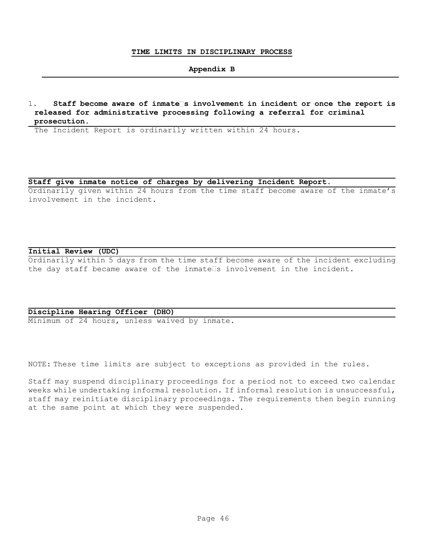#### **TIME LIMITS IN DISCIPLINARY PROCESS**

#### **Appendix B**

1. **Staff become aware of inmate s involvement in incident or once the report is released for administrative processing following a referral for criminal prosecution**.

The Incident Report is ordinarily written within 24 hours.

#### **Staff give inmate notice of charges by delivering Incident Report**.

Ordinarily given within 24 hours from the time staff become aware of the inmate's involvement in the incident.

#### **Initial Review (UDC)**

Ordinarily within 5 days from the time staff become aware of the incident excluding the day staff became aware of the inmate $\square$ s involvement in the incident.

#### **Discipline Hearing Officer (DHO)**

Minimum of 24 hours, unless waived by inmate.

NOTE: These time limits are subject to exceptions as provided in the rules.

Staff may suspend disciplinary proceedings for a period not to exceed two calendar weeks while undertaking informal resolution. If informal resolution is unsuccessful, staff may reinitiate disciplinary proceedings. The requirements then begin running at the same point at which they were suspended.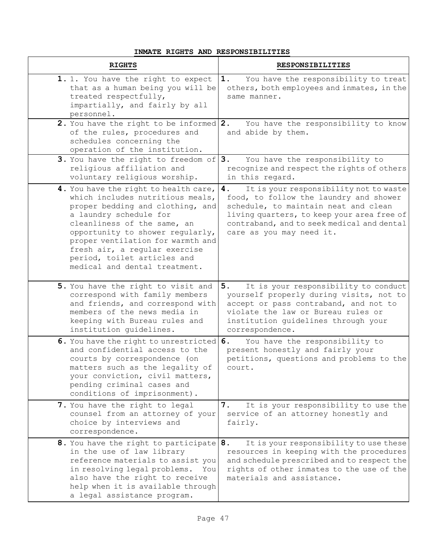#### **INMATE RIGHTS AND RESPONSIBILITIES**

| <b>RIGHTS</b>                                                                                                                                                                                                                                                                                                                                    | <b>RESPONSIBILITIES</b>                                                                                                                                                                                                                                |
|--------------------------------------------------------------------------------------------------------------------------------------------------------------------------------------------------------------------------------------------------------------------------------------------------------------------------------------------------|--------------------------------------------------------------------------------------------------------------------------------------------------------------------------------------------------------------------------------------------------------|
| 1. 1. You have the right to expect<br>that as a human being you will be<br>treated respectfully,<br>impartially, and fairly by all<br>personnel.                                                                                                                                                                                                 | You have the responsibility to treat<br>1.<br>others, both employees and inmates, in the<br>same manner.                                                                                                                                               |
| 2. You have the right to be informed 2.<br>of the rules, procedures and<br>schedules concerning the<br>operation of the institution.                                                                                                                                                                                                             | You have the responsibility to know<br>and abide by them.                                                                                                                                                                                              |
| 3. You have the right to freedom of $ 3.$<br>religious affiliation and<br>voluntary religious worship.                                                                                                                                                                                                                                           | You have the responsibility to<br>recognize and respect the rights of others<br>in this regard.                                                                                                                                                        |
| 4. You have the right to health care,<br>which includes nutritious meals,<br>proper bedding and clothing, and<br>a laundry schedule for<br>cleanliness of the same, an<br>opportunity to shower regularly,<br>proper ventilation for warmth and<br>fresh air, a regular exercise<br>period, toilet articles and<br>medical and dental treatment. | It is your responsibility not to waste<br>4.<br>food, to follow the laundry and shower<br>schedule, to maintain neat and clean<br>living quarters, to keep your area free of<br>contraband, and to seek medical and dental<br>care as you may need it. |
| 5. You have the right to visit and<br>correspond with family members<br>and friends, and correspond with<br>members of the news media in<br>keeping with Bureau rules and<br>institution quidelines.                                                                                                                                             | 5.<br>It is your responsibility to conduct<br>yourself properly during visits, not to<br>accept or pass contraband, and not to<br>violate the law or Bureau rules or<br>institution guidelines through your<br>correspondence.                         |
| 6. You have the right to unrestricted<br>and confidential access to the<br>courts by correspondence (on<br>matters such as the legality of<br>your conviction, civil matters,<br>pending criminal cases and<br>conditions of imprisonment).                                                                                                      | You have the responsibility to<br>6.<br>present honestly and fairly your<br>petitions, questions and problems to the<br>court.                                                                                                                         |
| 7. You have the right to legal<br>counsel from an attorney of your<br>choice by interviews and<br>correspondence.                                                                                                                                                                                                                                | It is your responsibility to use the<br>7.<br>service of an attorney honestly and<br>fairly.                                                                                                                                                           |
| 8. You have the right to participate 8.<br>in the use of law library<br>reference materials to assist you<br>in resolving legal problems.<br>You<br>also have the right to receive<br>help when it is available through<br>a legal assistance program.                                                                                           | It is your responsibility to use these<br>resources in keeping with the procedures<br>and schedule prescribed and to respect the<br>rights of other inmates to the use of the<br>materials and assistance.                                             |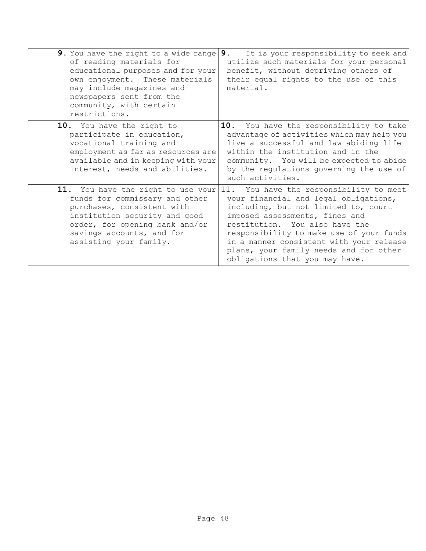| 9. You have the right to a wide range<br>of reading materials for<br>educational purposes and for your<br>own enjoyment. These materials<br>may include magazines and<br>newspapers sent from the<br>community, with certain<br>restrictions. | 9.<br>It is your responsibility to seek and<br>utilize such materials for your personal<br>benefit, without depriving others of<br>their equal rights to the use of this<br>material.                                                                                                                                                                            |
|-----------------------------------------------------------------------------------------------------------------------------------------------------------------------------------------------------------------------------------------------|------------------------------------------------------------------------------------------------------------------------------------------------------------------------------------------------------------------------------------------------------------------------------------------------------------------------------------------------------------------|
| 10. You have the right to<br>participate in education,<br>vocational training and<br>employment as far as resources are<br>available and in keeping with your<br>interest, needs and abilities.                                               | 10.<br>You have the responsibility to take<br>advantage of activities which may help you<br>live a successful and law abiding life<br>within the institution and in the<br>community. You will be expected to abide<br>by the regulations governing the use of<br>such activities.                                                                               |
| 11. You have the right to use your<br>funds for commissary and other<br>purchases, consistent with<br>institution security and good<br>order, for opening bank and/or<br>savings accounts, and for<br>assisting your family.                  | 11. You have the responsibility to meet<br>your financial and legal obligations,<br>including, but not limited to, court<br>imposed assessments, fines and<br>restitution. You also have the<br>responsibility to make use of your funds<br>in a manner consistent with your release<br>plans, your family needs and for other<br>obligations that you may have. |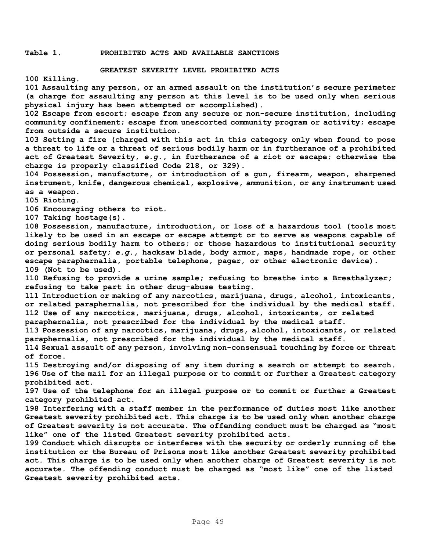#### **Table 1. PROHIBITED ACTS AND AVAILABLE SANCTIONS**

#### **GREATEST SEVERITY LEVEL PROHIBITED ACTS**

**100 Killing.** 

**101 Assaulting any person, or an armed assault on the institution's secure perimeter (a charge for assaulting any person at this level is to be used only when serious physical injury has been attempted or accomplished).** 

**102 Escape from escort; escape from any secure or non-secure institution, including community confinement; escape from unescorted community program or activity; escape from outside a secure institution.** 

**103 Setting a fire (charged with this act in this category only when found to pose a threat to life or a threat of serious bodily harm or in furtherance of a prohibited act of Greatest Severity,** *e.g.,* **in furtherance of a riot or escape; otherwise the charge is properly classified Code 218, or 329).** 

**104 Possession, manufacture, or introduction of a gun, firearm, weapon, sharpened instrument, knife, dangerous chemical, explosive, ammunition, or any instrument used as a weapon.** 

**105 Rioting.** 

**106 Encouraging others to riot.** 

**107 Taking hostage(s).** 

**108 Possession, manufacture, introduction, or loss of a hazardous tool (tools most likely to be used in an escape or escape attempt or to serve as weapons capable of doing serious bodily harm to others; or those hazardous to institutional security or personal safety;** *e.g.,* **hacksaw blade, body armor, maps, handmade rope, or other escape paraphernalia, portable telephone, pager, or other electronic device). 109 (Not to be used).** 

**110 Refusing to provide a urine sample; refusing to breathe into a Breathalyzer; refusing to take part in other drug-abuse testing.** 

**111 Introduction or making of any narcotics, marijuana, drugs, alcohol, intoxicants, or related paraphernalia, not prescribed for the individual by the medical staff. 112 Use of any narcotics, marijuana, drugs, alcohol, intoxicants, or related paraphernalia, not prescribed for the individual by the medical staff.** 

**113 Possession of any narcotics, marijuana, drugs, alcohol, intoxicants, or related paraphernalia, not prescribed for the individual by the medical staff.** 

**114 Sexual assault of any person, involving non-consensual touching by force or threat of force.** 

**115 Destroying and/or disposing of any item during a search or attempt to search. 196 Use of the mail for an illegal purpose or to commit or further a Greatest category prohibited act.** 

**197 Use of the telephone for an illegal purpose or to commit or further a Greatest category prohibited act.** 

**198 Interfering with a staff member in the performance of duties most like another Greatest severity prohibited act. This charge is to be used only when another charge of Greatest severity is not accurate. The offending conduct must be charged as "most like" one of the listed Greatest severity prohibited acts.** 

**199 Conduct which disrupts or interferes with the security or orderly running of the institution or the Bureau of Prisons most like another Greatest severity prohibited act. This charge is to be used only when another charge of Greatest severity is not accurate. The offending conduct must be charged as "most like" one of the listed Greatest severity prohibited acts.**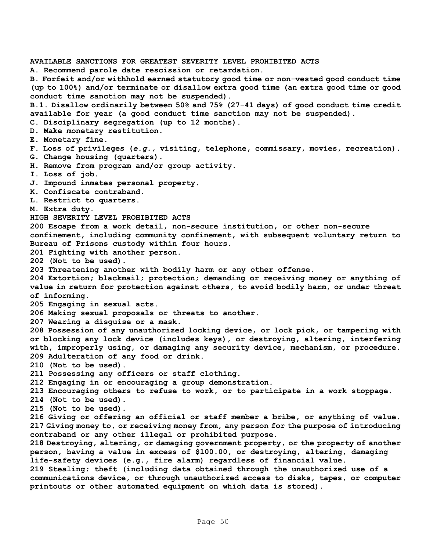**AVAILABLE SANCTIONS FOR GREATEST SEVERITY LEVEL PROHIBITED ACTS A. Recommend parole date rescission or retardation. B. Forfeit and/or withhold earned statutory good time or non-vested good conduct time (up to 100%) and/or terminate or disallow extra good time (an extra good time or good conduct time sanction may not be suspended). B.1. Disallow ordinarily between 50% and 75% (27-41 days) of good conduct time credit available for year (a good conduct time sanction may not be suspended). C. Disciplinary segregation (up to 12 months). D. Make monetary restitution. E. Monetary fine. F. Loss of privileges (***e.g.,* **visiting, telephone, commissary, movies, recreation). G. Change housing (quarters). H. Remove from program and/or group activity. I. Loss of job. J. Impound inmates personal property. K. Confiscate contraband. L. Restrict to quarters. M. Extra duty. HIGH SEVERITY LEVEL PROHIBITED ACTS 200 Escape from a work detail, non-secure institution, or other non-secure confinement, including community confinement, with subsequent voluntary return to Bureau of Prisons custody within four hours. 201 Fighting with another person. 202 (Not to be used). 203 Threatening another with bodily harm or any other offense. 204 Extortion; blackmail; protection; demanding or receiving money or anything of value in return for protection against others, to avoid bodily harm, or under threat of informing. 205 Engaging in sexual acts. 206 Making sexual proposals or threats to another. 207 Wearing a disguise or a mask. 208 Possession of any unauthorized locking device, or lock pick, or tampering with or blocking any lock device (includes keys), or destroying, altering, interfering with, improperly using, or damaging any security device, mechanism, or procedure. 209 Adulteration of any food or drink. 210 (Not to be used). 211 Possessing any officers or staff clothing. 212 Engaging in or encouraging a group demonstration. 213 Encouraging others to refuse to work, or to participate in a work stoppage. 214 (Not to be used). 215 (Not to be used). 216 Giving or offering an official or staff member a bribe, or anything of value. 217 Giving money to, or receiving money from, any person for the purpose of introducing contraband or any other illegal or prohibited purpose. 218 Destroying, altering, or damaging government property, or the property of another person, having a value in excess of \$100.00, or destroying, altering, damaging life-safety devices (e.g., fire alarm) regardless of financial value. 219 Stealing; theft (including data obtained through the unauthorized use of a communications device, or through unauthorized access to disks, tapes, or computer printouts or other automated equipment on which data is stored).**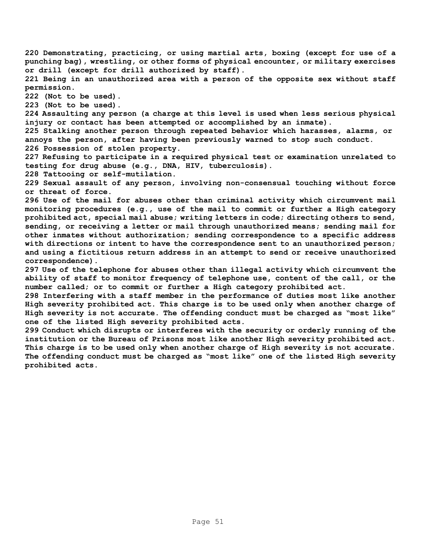**220 Demonstrating, practicing, or using martial arts, boxing (except for use of a punching bag), wrestling, or other forms of physical encounter, or military exercises or drill (except for drill authorized by staff).** 

**221 Being in an unauthorized area with a person of the opposite sex without staff permission.** 

**222 (Not to be used).** 

**223 (Not to be used).**

**224 Assaulting any person (a charge at this level is used when less serious physical injury or contact has been attempted or accomplished by an inmate).** 

**225 Stalking another person through repeated behavior which harasses, alarms, or annoys the person, after having been previously warned to stop such conduct. 226 Possession of stolen property.** 

**227 Refusing to participate in a required physical test or examination unrelated to testing for drug abuse (e.g., DNA, HIV, tuberculosis).** 

**228 Tattooing or self-mutilation.** 

**229 Sexual assault of any person, involving non-consensual touching without force or threat of force.** 

**296 Use of the mail for abuses other than criminal activity which circumvent mail monitoring procedures (e.g., use of the mail to commit or further a High category prohibited act, special mail abuse; writing letters in code; directing others to send, sending, or receiving a letter or mail through unauthorized means; sending mail for other inmates without authorization; sending correspondence to a specific address with directions or intent to have the correspondence sent to an unauthorized person; and using a fictitious return address in an attempt to send or receive unauthorized correspondence).** 

**297 Use of the telephone for abuses other than illegal activity which circumvent the ability of staff to monitor frequency of telephone use, content of the call, or the number called; or to commit or further a High category prohibited act.** 

**298 Interfering with a staff member in the performance of duties most like another High severity prohibited act. This charge is to be used only when another charge of High severity is not accurate. The offending conduct must be charged as "most like" one of the listed High severity prohibited acts.** 

**299 Conduct which disrupts or interferes with the security or orderly running of the institution or the Bureau of Prisons most like another High severity prohibited act. This charge is to be used only when another charge of High severity is not accurate. The offending conduct must be charged as "most like" one of the listed High severity prohibited acts.**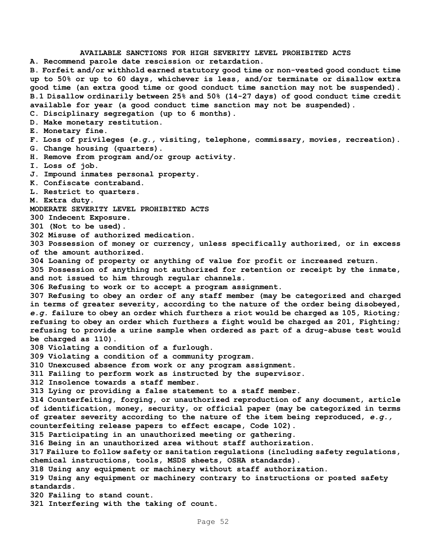**AVAILABLE SANCTIONS FOR HIGH SEVERITY LEVEL PROHIBITED ACTS A. Recommend parole date rescission or retardation. B. Forfeit and/or withhold earned statutory good time or non-vested good conduct time up to 50% or up to 60 days, whichever is less, and/or terminate or disallow extra good time (an extra good time or good conduct time sanction may not be suspended). B.1 Disallow ordinarily between 25% and 50% (14-27 days) of good conduct time credit available for year (a good conduct time sanction may not be suspended). C. Disciplinary segregation (up to 6 months). D. Make monetary restitution. E. Monetary fine. F. Loss of privileges (***e.g.,* **visiting, telephone, commissary, movies, recreation). G. Change housing (quarters). H. Remove from program and/or group activity. I. Loss of job. J. Impound inmates personal property. K. Confiscate contraband. L. Restrict to quarters. M. Extra duty. MODERATE SEVERITY LEVEL PROHIBITED ACTS 300 Indecent Exposure. 301 (Not to be used). 302 Misuse of authorized medication. 303 Possession of money or currency, unless specifically authorized, or in excess of the amount authorized. 304 Loaning of property or anything of value for profit or increased return. 305 Possession of anything not authorized for retention or receipt by the inmate, and not issued to him through regular channels. 306 Refusing to work or to accept a program assignment. 307 Refusing to obey an order of any staff member (may be categorized and charged in terms of greater severity, according to the nature of the order being disobeyed,**  *e.g.* **failure to obey an order which furthers a riot would be charged as 105, Rioting; refusing to obey an order which furthers a fight would be charged as 201, Fighting; refusing to provide a urine sample when ordered as part of a drug-abuse test would be charged as 110). 308 Violating a condition of a furlough. 309 Violating a condition of a community program. 310 Unexcused absence from work or any program assignment. 311 Failing to perform work as instructed by the supervisor. 312 Insolence towards a staff member. 313 Lying or providing a false statement to a staff member. 314 Counterfeiting, forging, or unauthorized reproduction of any document, article of identification, money, security, or official paper (may be categorized in terms of greater severity according to the nature of the item being reproduced,** *e.g.,*  **counterfeiting release papers to effect escape, Code 102). 315 Participating in an unauthorized meeting or gathering. 316 Being in an unauthorized area without staff authorization. 317 Failure to follow safety or sanitation regulations (including safety regulations, chemical instructions, tools, MSDS sheets, OSHA standards). 318 Using any equipment or machinery without staff authorization. 319 Using any equipment or machinery contrary to instructions or posted safety standards. 320 Failing to stand count. 321 Interfering with the taking of count.**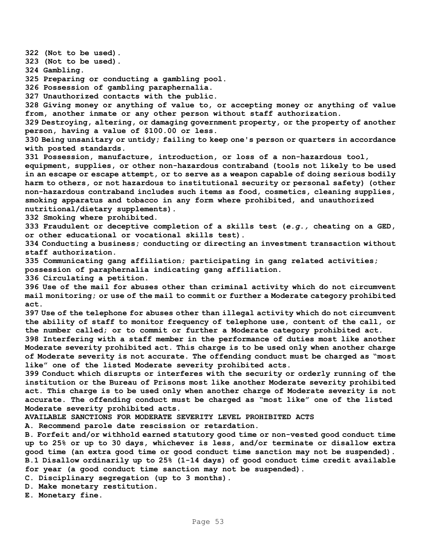**322 (Not to be used). 323 (Not to be used). 324 Gambling. 325 Preparing or conducting a gambling pool. 326 Possession of gambling paraphernalia. 327 Unauthorized contacts with the public. 328 Giving money or anything of value to, or accepting money or anything of value from, another inmate or any other person without staff authorization. 329 Destroying, altering, or damaging government property, or the property of another person, having a value of \$100.00 or less. 330 Being unsanitary or untidy; failing to keep one's person or quarters in accordance with posted standards. 331 Possession, manufacture, introduction, or loss of a non-hazardous tool, equipment, supplies, or other non-hazardous contraband (tools not likely to be used in an escape or escape attempt, or to serve as a weapon capable of doing serious bodily harm to others, or not hazardous to institutional security or personal safety) (other non-hazardous contraband includes such items as food, cosmetics, cleaning supplies, smoking apparatus and tobacco in any form where prohibited, and unauthorized nutritional/dietary supplements). 332 Smoking where prohibited. 333 Fraudulent or deceptive completion of a skills test (***e.g.,* **cheating on a GED, or other educational or vocational skills test). 334 Conducting a business; conducting or directing an investment transaction without staff authorization. 335 Communicating gang affiliation; participating in gang related activities; possession of paraphernalia indicating gang affiliation. 336 Circulating a petition. 396 Use of the mail for abuses other than criminal activity which do not circumvent mail monitoring; or use of the mail to commit or further a Moderate category prohibited act. 397 Use of the telephone for abuses other than illegal activity which do not circumvent the ability of staff to monitor frequency of telephone use, content of the call, or the number called; or to commit or further a Moderate category prohibited act. 398 Interfering with a staff member in the performance of duties most like another Moderate severity prohibited act. This charge is to be used only when another charge of Moderate severity is not accurate. The offending conduct must be charged as "most like" one of the listed Moderate severity prohibited acts. 399 Conduct which disrupts or interferes with the security or orderly running of the institution or the Bureau of Prisons most like another Moderate severity prohibited act. This charge is to be used only when another charge of Moderate severity is not accurate. The offending conduct must be charged as "most like" one of the listed Moderate severity prohibited acts. AVAILABLE SANCTIONS FOR MODERATE SEVERITY LEVEL PROHIBITED ACTS A. Recommend parole date rescission or retardation. B. Forfeit and/or withhold earned statutory good time or non-vested good conduct time up to 25% or up to 30 days, whichever is less, and/or terminate or disallow extra good time (an extra good time or good conduct time sanction may not be suspended). B.1 Disallow ordinarily up to 25% (1-14 days) of good conduct time credit available for year (a good conduct time sanction may not be suspended). C. Disciplinary segregation (up to 3 months). D. Make monetary restitution. E. Monetary fine.**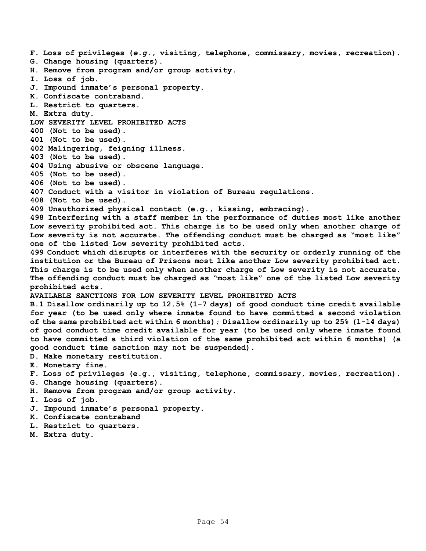**F. Loss of privileges (***e.g.,* **visiting, telephone, commissary, movies, recreation). G. Change housing (quarters). H. Remove from program and/or group activity. I. Loss of job. J. Impound inmate's personal property. K. Confiscate contraband. L. Restrict to quarters. M. Extra duty. LOW SEVERITY LEVEL PROHIBITED ACTS 400 (Not to be used). 401 (Not to be used). 402 Malingering, feigning illness. 403 (Not to be used). 404 Using abusive or obscene language. 405 (Not to be used). 406 (Not to be used). 407 Conduct with a visitor in violation of Bureau regulations. 408 (Not to be used). 409 Unauthorized physical contact (e.g., kissing, embracing). 498 Interfering with a staff member in the performance of duties most like another Low severity prohibited act. This charge is to be used only when another charge of Low severity is not accurate. The offending conduct must be charged as "most like" one of the listed Low severity prohibited acts. 499 Conduct which disrupts or interferes with the security or orderly running of the institution or the Bureau of Prisons most like another Low severity prohibited act. This charge is to be used only when another charge of Low severity is not accurate. The offending conduct must be charged as "most like" one of the listed Low severity prohibited acts. AVAILABLE SANCTIONS FOR LOW SEVERITY LEVEL PROHIBITED ACTS B.1 Disallow ordinarily up to 12.5% (1-7 days) of good conduct time credit available for year (to be used only where inmate found to have committed a second violation of the same prohibited act within 6 months); Disallow ordinarily up to 25% (1-14 days) of good conduct time credit available for year (to be used only where inmate found to have committed a third violation of the same prohibited act within 6 months) (a good conduct time sanction may not be suspended). D. Make monetary restitution. E. Monetary fine. F. Loss of privileges (e.g., visiting, telephone, commissary, movies, recreation). G. Change housing (quarters). H. Remove from program and/or group activity. I. Loss of job. J. Impound inmate's personal property. K. Confiscate contraband** 

- **L. Restrict to quarters.**
- **M. Extra duty.**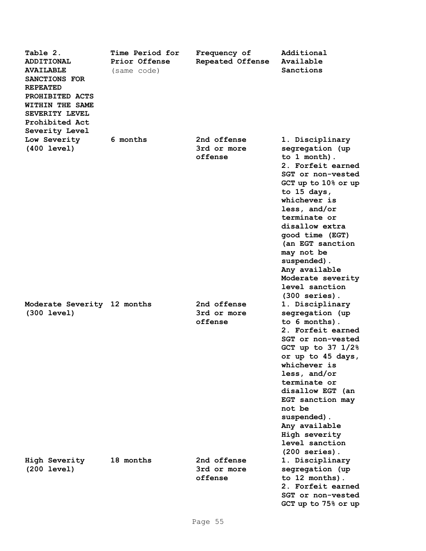| Table 2.<br><b>ADDITIONAL</b><br><b>AVAILABLE</b><br>SANCTIONS FOR<br><b>REPEATED</b><br>PROHIBITED ACTS<br>WITHIN THE SAME<br>SEVERITY LEVEL<br>Prohibited Act<br>Severity Level | <b>Time Period for</b><br>Prior Offense<br>(same code) | Frequency of<br>Repeated Offense      | Additional<br>Available<br>Sanctions                                                                                                                                                                                                                                                                                                                  |
|-----------------------------------------------------------------------------------------------------------------------------------------------------------------------------------|--------------------------------------------------------|---------------------------------------|-------------------------------------------------------------------------------------------------------------------------------------------------------------------------------------------------------------------------------------------------------------------------------------------------------------------------------------------------------|
| Low Severity<br>$(400 \text{ level})$                                                                                                                                             | 6 months                                               | 2nd offense<br>3rd or more<br>offense | 1. Disciplinary<br>segregation (up<br>to 1 month).<br>2. Forfeit earned<br>SGT or non-vested<br>GCT up to 10% or up<br>to $15$ days,<br>whichever is<br>less, and/or<br>terminate or<br>disallow extra<br>good time (EGT)<br>(an EGT sanction<br>may not be<br>suspended).<br>Any available<br>Moderate severity<br>level sanction<br>$(300$ series). |
| Moderate Severity 12 months<br>$(300 \text{ level})$                                                                                                                              |                                                        | 2nd offense<br>3rd or more<br>offense | 1. Disciplinary<br>segregation (up<br>to 6 months).<br>2. Forfeit earned<br>SGT or non-vested<br>GCT up to $37 \frac{1}{2\%}$<br>or up to 45 days,<br>whichever is<br>less, and/or<br>terminate or<br>disallow EGT (an<br>EGT sanction may<br>not be<br>suspended).<br>Any available<br>High severity<br>level sanction<br>$(200$ series).            |
| High Severity<br>$(200 \text{ level})$                                                                                                                                            | 18 months                                              | 2nd offense<br>3rd or more<br>offense | 1. Disciplinary<br>segregation (up<br>to 12 months).<br>2. Forfeit earned<br>SGT or non-vested<br>GCT up to 75% or up                                                                                                                                                                                                                                 |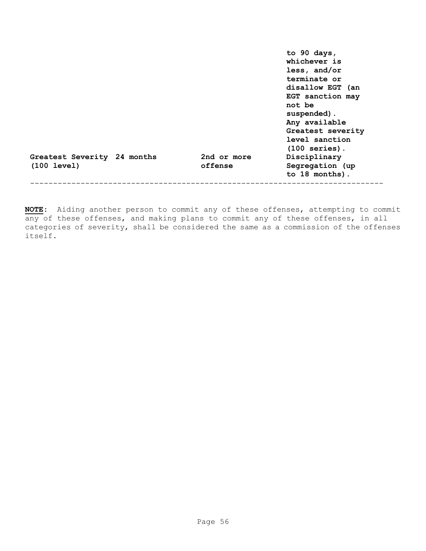|                                                      |                        | to 90 days,<br>whichever is<br>less, and/or<br>terminate or<br>disallow EGT (an<br>EGT sanction may<br>not be<br>suspended).<br>Any available<br>Greatest severity<br>level sanction<br>$(100$ series). |
|------------------------------------------------------|------------------------|---------------------------------------------------------------------------------------------------------------------------------------------------------------------------------------------------------|
| Greatest Severity 24 months<br>$(100 \text{ level})$ | 2nd or more<br>offense | Disciplinary<br>Segregation (up<br>to 18 months).                                                                                                                                                       |
|                                                      |                        |                                                                                                                                                                                                         |

**NOTE:** Aiding another person to commit any of these offenses, attempting to commit any of these offenses, and making plans to commit any of these offenses, in all categories of severity, shall be considered the same as a commission of the offenses itself.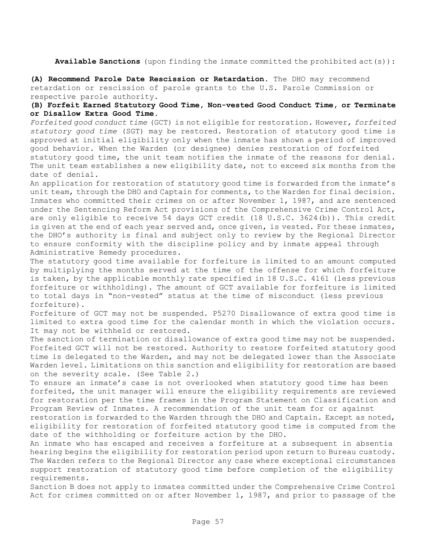**Available Sanctions** (upon finding the inmate committed the prohibited act(s)):

**(A) Recommend Parole Date Rescission or Retardation.** The DHO may recommend retardation or rescission of parole grants to the U.S. Parole Commission or respective parole authority.

#### **(B) Forfeit Earned Statutory Good Time, Non-vested Good Conduct Time, or Terminate or Disallow Extra Good Time.**

*Forfeited good conduct time* (GCT) is not eligible for restoration. However, *forfeited statutory good time* (SGT) may be restored. Restoration of statutory good time is approved at initial eligibility only when the inmate has shown a period of improved good behavior. When the Warden (or designee) denies restoration of forfeited statutory good time, the unit team notifies the inmate of the reasons for denial.

The unit team establishes a new eligibility date, not to exceed six months from the date of denial.

An application for restoration of statutory good time is forwarded from the inmate's unit team, through the DHO and Captain for comments, to the Warden for final decision. Inmates who committed their crimes on or after November 1, 1987, and are sentenced under the Sentencing Reform Act provisions of the Comprehensive Crime Control Act, are only eligible to receive 54 days GCT credit (18 U.S.C. 3624(b)). This credit is given at the end of each year served and, once given, is vested. For these inmates, the DHO's authority is final and subject only to review by the Regional Director to ensure conformity with the discipline policy and by inmate appeal through Administrative Remedy procedures.

The statutory good time available for forfeiture is limited to an amount computed by multiplying the months served at the time of the offense for which forfeiture is taken, by the applicable monthly rate specified in 18 U.S.C. 4161 (less previous forfeiture or withholding). The amount of GCT available for forfeiture is limited to total days in "non-vested" status at the time of misconduct (less previous forfeiture).

Forfeiture of GCT may not be suspended. P5270 Disallowance of extra good time is limited to extra good time for the calendar month in which the violation occurs. It may not be withheld or restored.

The sanction of termination or disallowance of extra good time may not be suspended. Forfeited GCT will not be restored. Authority to restore forfeited statutory good time is delegated to the Warden, and may not be delegated lower than the Associate Warden level. Limitations on this sanction and eligibility for restoration are based on the severity scale. (See Table 2.)

To ensure an inmate's case is not overlooked when statutory good time has been forfeited, the unit manager will ensure the eligibility requirements are reviewed for restoration per the time frames in the Program Statement on Classification and Program Review of Inmates. A recommendation of the unit team for or against

restoration is forwarded to the Warden through the DHO and Captain. Except as noted, eligibility for restoration of forfeited statutory good time is computed from the date of the withholding or forfeiture action by the DHO.

An inmate who has escaped and receives a forfeiture at a subsequent in absentia hearing begins the eligibility for restoration period upon return to Bureau custody. The Warden refers to the Regional Director any case where exceptional circumstances support restoration of statutory good time before completion of the eligibility requirements.

Sanction B does not apply to inmates committed under the Comprehensive Crime Control Act for crimes committed on or after November 1, 1987, and prior to passage of the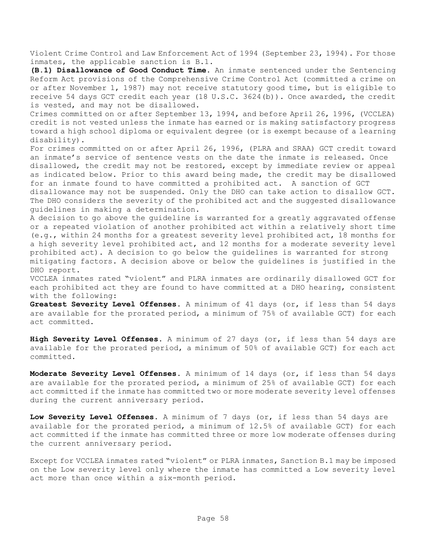Violent Crime Control and Law Enforcement Act of 1994 (September 23, 1994). For those inmates, the applicable sanction is B.1.

**(B.1) Disallowance of Good Conduct Time.** An inmate sentenced under the Sentencing Reform Act provisions of the Comprehensive Crime Control Act (committed a crime on or after November 1, 1987) may not receive statutory good time, but is eligible to receive 54 days GCT credit each year (18 U.S.C. 3624(b)). Once awarded, the credit is vested, and may not be disallowed.

Crimes committed on or after September 13, 1994, and before April 26, 1996, (VCCLEA) credit is not vested unless the inmate has earned or is making satisfactory progress toward a high school diploma or equivalent degree (or is exempt because of a learning disability).

For crimes committed on or after April 26, 1996, (PLRA and SRAA) GCT credit toward an inmate's service of sentence vests on the date the inmate is released. Once disallowed, the credit may not be restored, except by immediate review or appeal as indicated below. Prior to this award being made, the credit may be disallowed for an inmate found to have committed a prohibited act. A sanction of GCT

disallowance may not be suspended. Only the DHO can take action to disallow GCT. The DHO considers the severity of the prohibited act and the suggested disallowance guidelines in making a determination.

A decision to go above the guideline is warranted for a greatly aggravated offense or a repeated violation of another prohibited act within a relatively short time (e.g., within 24 months for a greatest severity level prohibited act, 18 months for a high severity level prohibited act, and 12 months for a moderate severity level prohibited act). A decision to go below the guidelines is warranted for strong mitigating factors. A decision above or below the guidelines is justified in the DHO report.

VCCLEA inmates rated "violent" and PLRA inmates are ordinarily disallowed GCT for each prohibited act they are found to have committed at a DHO hearing, consistent with the following:

**Greatest Severity Level Offenses**. A minimum of 41 days (or, if less than 54 days are available for the prorated period, a minimum of 75% of available GCT) for each act committed.

**High Severity Level Offenses**. A minimum of 27 days (or, if less than 54 days are available for the prorated period, a minimum of 50% of available GCT) for each act committed.

**Moderate Severity Level Offenses**. A minimum of 14 days (or, if less than 54 days are available for the prorated period, a minimum of 25% of available GCT) for each act committed if the inmate has committed two or more moderate severity level offenses during the current anniversary period.

**Low Severity Level Offenses**. A minimum of 7 days (or, if less than 54 days are available for the prorated period, a minimum of 12.5% of available GCT) for each act committed if the inmate has committed three or more low moderate offenses during the current anniversary period.

Except for VCCLEA inmates rated "violent" or PLRA inmates, Sanction B.1 may be imposed on the Low severity level only where the inmate has committed a Low severity level act more than once within a six-month period.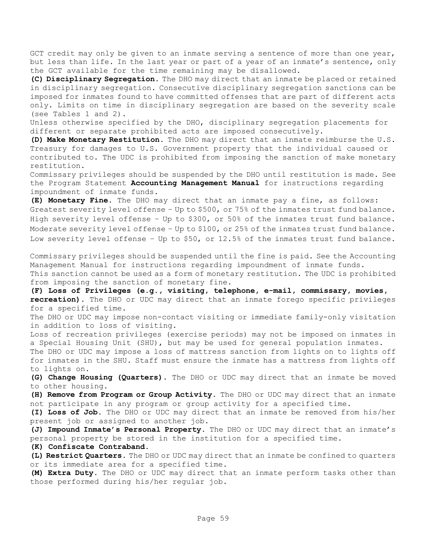GCT credit may only be given to an inmate serving a sentence of more than one year, but less than life. In the last year or part of a year of an inmate's sentence, only the GCT available for the time remaining may be disallowed.

**(C) Disciplinary Segregation.** The DHO may direct that an inmate be placed or retained in disciplinary segregation. Consecutive disciplinary segregation sanctions can be imposed for inmates found to have committed offenses that are part of different acts only. Limits on time in disciplinary segregation are based on the severity scale (see Tables 1 and 2).

Unless otherwise specified by the DHO, disciplinary segregation placements for different or separate prohibited acts are imposed consecutively.

**(D) Make Monetary Restitution.** The DHO may direct that an inmate reimburse the U.S. Treasury for damages to U.S. Government property that the individual caused or contributed to. The UDC is prohibited from imposing the sanction of make monetary restitution.

Commissary privileges should be suspended by the DHO until restitution is made. See the Program Statement **Accounting Management Manual** for instructions regarding impoundment of inmate funds.

**(E) Monetary Fine.** The DHO may direct that an inmate pay a fine, as follows: Greatest severity level offense – Up to \$500, or 75% of the inmates trust fund balance. High severity level offense – Up to \$300, or 50% of the inmates trust fund balance. Moderate severity level offense – Up to \$100, or 25% of the inmates trust fund balance. Low severity level offense – Up to \$50, or 12.5% of the inmates trust fund balance.

Commissary privileges should be suspended until the fine is paid. See the Accounting Management Manual for instructions regarding impoundment of inmate funds. This sanction cannot be used as a form of monetary restitution. The UDC is prohibited from imposing the sanction of monetary fine.

**(F) Loss of Privileges (e.g., visiting, telephone, e-mail, commissary, movies, recreation).** The DHO or UDC may direct that an inmate forego specific privileges for a specified time.

The DHO or UDC may impose non-contact visiting or immediate family-only visitation in addition to loss of visiting.

Loss of recreation privileges (exercise periods) may not be imposed on inmates in a Special Housing Unit (SHU), but may be used for general population inmates. The DHO or UDC may impose a loss of mattress sanction from lights on to lights off

for inmates in the SHU. Staff must ensure the inmate has a mattress from lights off to lights on.

**(G) Change Housing (Quarters)**. The DHO or UDC may direct that an inmate be moved to other housing.

**(H) Remove from Program or Group Activity.** The DHO or UDC may direct that an inmate not participate in any program or group activity for a specified time.

**(I) Loss of Job.** The DHO or UDC may direct that an inmate be removed from his/her present job or assigned to another job.

**(J) Impound Inmate's Personal Property.** The DHO or UDC may direct that an inmate's personal property be stored in the institution for a specified time.

**(K) Confiscate Contraband.** 

**(L) Restrict Quarters.** The DHO or UDC may direct that an inmate be confined to quarters or its immediate area for a specified time.

**(M) Extra Duty.** The DHO or UDC may direct that an inmate perform tasks other than those performed during his/her regular job.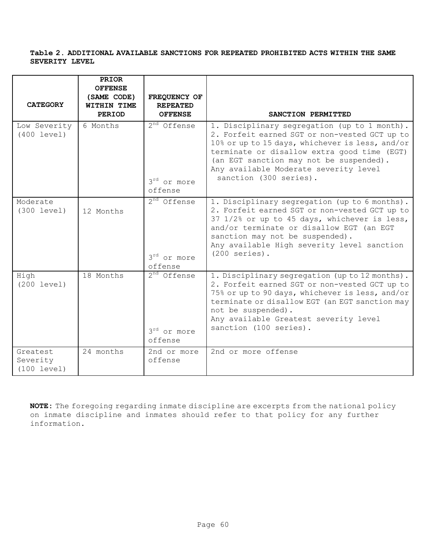#### **Table 2. ADDITIONAL AVAILABLE SANCTIONS FOR REPEATED PROHIBITED ACTS WITHIN THE SAME SEVERITY LEVEL**

|                                     | <b>PRIOR</b><br><b>OFFENSE</b> |                                                               |                                                                                                                                                                                                                                                                                                               |
|-------------------------------------|--------------------------------|---------------------------------------------------------------|---------------------------------------------------------------------------------------------------------------------------------------------------------------------------------------------------------------------------------------------------------------------------------------------------------------|
| <b>CATEGORY</b>                     | (SAME CODE)<br>WITHIN TIME     | FREQUENCY OF<br><b>REPEATED</b>                               |                                                                                                                                                                                                                                                                                                               |
|                                     | <b>PERIOD</b>                  | <b>OFFENSE</b>                                                | SANCTION PERMITTED                                                                                                                                                                                                                                                                                            |
| Low Severity<br>(400 level)         | 6 Months                       | $2nd$ Offense<br>3 <sup>rd</sup> or more<br>offense           | 1. Disciplinary segregation (up to 1 month).<br>2. Forfeit earned SGT or non-vested GCT up to<br>10% or up to 15 days, whichever is less, and/or<br>terminate or disallow extra good time (EGT)<br>(an EGT sanction may not be suspended).<br>Any available Moderate severity level<br>sanction (300 series). |
| Moderate<br>(300 level)             | 12 Months                      | $2nd$ Offense<br>3 <sup>rd</sup> or more<br>offense           | 1. Disciplinary segregation (up to 6 months).<br>2. Forfeit earned SGT or non-vested GCT up to<br>37 1/2% or up to 45 days, whichever is less,<br>and/or terminate or disallow EGT (an EGT<br>sanction may not be suspended).<br>Any available High severity level sanction<br>$(200$ series).                |
| High<br>(200 level)                 | 18 Months                      | 2 <sup>nd</sup> Offense<br>3 <sup>rd</sup> or more<br>offense | 1. Disciplinary segregation (up to 12 months).<br>2. Forfeit earned SGT or non-vested GCT up to<br>75% or up to 90 days, whichever is less, and/or<br>terminate or disallow EGT (an EGT sanction may<br>not be suspended).<br>Any available Greatest severity level<br>sanction (100 series).                 |
| Greatest<br>Severity<br>(100 level) | 24 months                      | 2nd or more<br>offense                                        | 2nd or more offense                                                                                                                                                                                                                                                                                           |

**NOTE:** The foregoing regarding inmate discipline are excerpts from the national policy on inmate discipline and inmates should refer to that policy for any further information.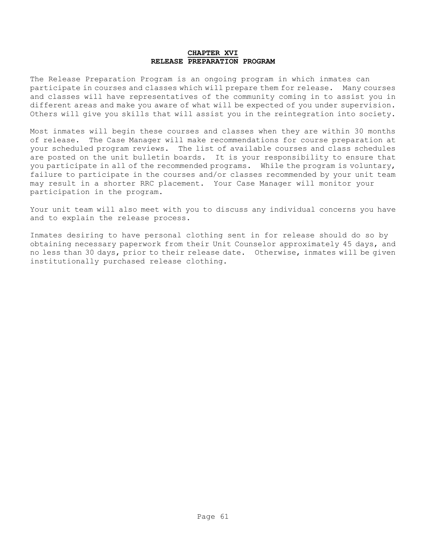#### **CHAPTER XVI RELEASE PREPARATION PROGRAM**

The Release Preparation Program is an ongoing program in which inmates can participate in courses and classes which will prepare them for release. Many courses and classes will have representatives of the community coming in to assist you in different areas and make you aware of what will be expected of you under supervision. Others will give you skills that will assist you in the reintegration into society.

Most inmates will begin these courses and classes when they are within 30 months of release. The Case Manager will make recommendations for course preparation at your scheduled program reviews. The list of available courses and class schedules are posted on the unit bulletin boards. It is your responsibility to ensure that you participate in all of the recommended programs. While the program is voluntary, failure to participate in the courses and/or classes recommended by your unit team may result in a shorter RRC placement. Your Case Manager will monitor your participation in the program.

Your unit team will also meet with you to discuss any individual concerns you have and to explain the release process.

Inmates desiring to have personal clothing sent in for release should do so by obtaining necessary paperwork from their Unit Counselor approximately 45 days, and no less than 30 days, prior to their release date. Otherwise, inmates will be given institutionally purchased release clothing.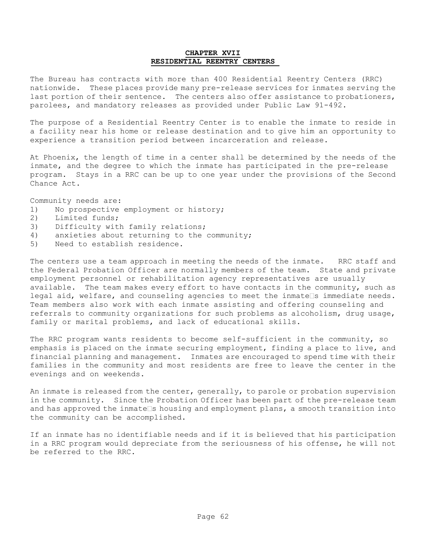#### **CHAPTER XVII RESIDENTIAL REENTRY CENTERS**

The Bureau has contracts with more than 400 Residential Reentry Centers (RRC) nationwide. These places provide many pre-release services for inmates serving the last portion of their sentence. The centers also offer assistance to probationers, parolees, and mandatory releases as provided under Public Law 91-492.

The purpose of a Residential Reentry Center is to enable the inmate to reside in a facility near his home or release destination and to give him an opportunity to experience a transition period between incarceration and release.

At Phoenix, the length of time in a center shall be determined by the needs of the inmate, and the degree to which the inmate has participated in the pre-release program. Stays in a RRC can be up to one year under the provisions of the Second Chance Act.

Community needs are:

- 1) No prospective employment or history;
- 2) Limited funds;
- 3) Difficulty with family relations;
- 4) anxieties about returning to the community;
- 5) Need to establish residence.

The centers use a team approach in meeting the needs of the inmate. RRC staff and the Federal Probation Officer are normally members of the team. State and private employment personnel or rehabilitation agency representatives are usually available. The team makes every effort to have contacts in the community, such as legal aid, welfare, and counseling agencies to meet the inmate s immediate needs. Team members also work with each inmate assisting and offering counseling and referrals to community organizations for such problems as alcoholism, drug usage, family or marital problems, and lack of educational skills.

The RRC program wants residents to become self-sufficient in the community, so emphasis is placed on the inmate securing employment, finding a place to live, and financial planning and management. Inmates are encouraged to spend time with their families in the community and most residents are free to leave the center in the evenings and on weekends.

An inmate is released from the center, generally, to parole or probation supervision in the community. Since the Probation Officer has been part of the pre-release team and has approved the inmate  $\Box$ s housing and employment plans, a smooth transition into the community can be accomplished.

If an inmate has no identifiable needs and if it is believed that his participation in a RRC program would depreciate from the seriousness of his offense, he will not be referred to the RRC.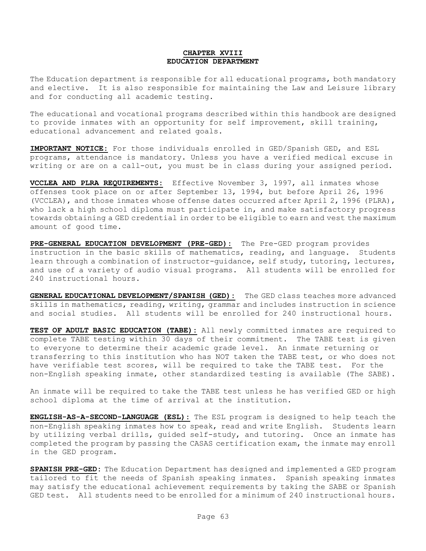#### **CHAPTER XVIII EDUCATION DEPARTMENT**

The Education department is responsible for all educational programs, both mandatory and elective. It is also responsible for maintaining the Law and Leisure library and for conducting all academic testing.

The educational and vocational programs described within this handbook are designed to provide inmates with an opportunity for self improvement, skill training, educational advancement and related goals.

**IMPORTANT NOTICE:** For those individuals enrolled in GED/Spanish GED, and ESL programs, attendance is mandatory. Unless you have a verified medical excuse in writing or are on a call-out, you must be in class during your assigned period.

**VCCLEA AND PLRA REQUIREMENTS:** Effective November 3, 1997, all inmates whose offenses took place on or after September 13, 1994, but before April 26, 1996 (VCCLEA), and those inmates whose offense dates occurred after April 2, 1996 (PLRA), who lack a high school diploma must participate in, and make satisfactory progress towards obtaining a GED credential in order to be eligible to earn and vest the maximum amount of good time.

**PRE-GENERAL EDUCATION DEVELOPMENT (PRE-GED):** The Pre-GED program provides instruction in the basic skills of mathematics, reading, and language. Students learn through a combination of instructor-quidance, self study, tutoring, lectures, and use of a variety of audio visual programs. All students will be enrolled for 240 instructional hours.

**GENERAL EDUCATIONAL DEVELOPMENT/SPANISH (GED):** The GED class teaches more advanced skills in mathematics, reading, writing, grammar and includes instruction in science and social studies. All students will be enrolled for 240 instructional hours.

**TEST OF ADULT BASIC EDUCATION (TABE):** All newly committed inmates are required to complete TABE testing within 30 days of their commitment. The TABE test is given to everyone to determine their academic grade level. An inmate returning or transferring to this institution who has NOT taken the TABE test, or who does not have verifiable test scores, will be required to take the TABE test. For the non-English speaking inmate, other standardized testing is available (The SABE).

An inmate will be required to take the TABE test unless he has verified GED or high school diploma at the time of arrival at the institution.

**ENGLISH-AS-A-SECOND-LANGUAGE (ESL):** The ESL program is designed to help teach the non-English speaking inmates how to speak, read and write English. Students learn by utilizing verbal drills, guided self-study, and tutoring. Once an inmate has completed the program by passing the CASAS certification exam, the inmate may enroll in the GED program.

**SPANISH PRE-GED:** The Education Department has designed and implemented a GED program tailored to fit the needs of Spanish speaking inmates. Spanish speaking inmates may satisfy the educational achievement requirements by taking the SABE or Spanish GED test. All students need to be enrolled for a minimum of 240 instructional hours.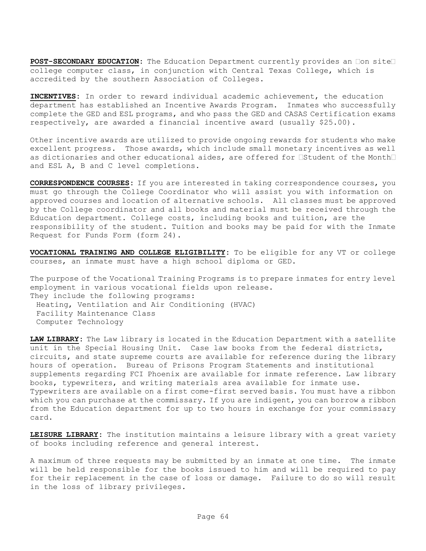POST-SECONDARY EDUCATION: The Education Department currently provides an **Don** site college computer class, in conjunction with Central Texas College, which is accredited by the southern Association of Colleges.

**INCENTIVES:** In order to reward individual academic achievement, the education department has established an Incentive Awards Program. Inmates who successfully complete the GED and ESL programs, and who pass the GED and CASAS Certification exams respectively, are awarded a financial incentive award (usually \$25.00).

Other incentive awards are utilized to provide ongoing rewards for students who make excellent progress. Those awards, which include small monetary incentives as well as dictionaries and other educational aides, are offered for **Istudent** of the Month and ESL A, B and C level completions.

**CORRESPONDENCE COURSES:** If you are interested in taking correspondence courses, you must go through the College Coordinator who will assist you with information on approved courses and location of alternative schools. All classes must be approved by the College coordinator and all books and material must be received through the Education department. College costs, including books and tuition, are the responsibility of the student. Tuition and books may be paid for with the Inmate Request for Funds Form (form 24).

**VOCATIONAL TRAINING AND COLLEGE ELIGIBILITY:** To be eligible for any VT or college courses, an inmate must have a high school diploma or GED.

The purpose of the Vocational Training Programs is to prepare inmates for entry level employment in various vocational fields upon release. They include the following programs: Heating, Ventilation and Air Conditioning (HVAC) Facility Maintenance Class Computer Technology

**LAW LIBRARY:** The Law library is located in the Education Department with a satellite unit in the Special Housing Unit. Case law books from the federal districts, circuits, and state supreme courts are available for reference during the library hours of operation. Bureau of Prisons Program Statements and institutional supplements regarding FCI Phoenix are available for inmate reference. Law library books, typewriters, and writing materials area available for inmate use. Typewriters are available on a first come-first served basis. You must have a ribbon which you can purchase at the commissary. If you are indigent, you can borrow a ribbon from the Education department for up to two hours in exchange for your commissary card.

**LEISURE LIBRARY:** The institution maintains a leisure library with a great variety of books including reference and general interest.

A maximum of three requests may be submitted by an inmate at one time. The inmate will be held responsible for the books issued to him and will be required to pay for their replacement in the case of loss or damage. Failure to do so will result in the loss of library privileges.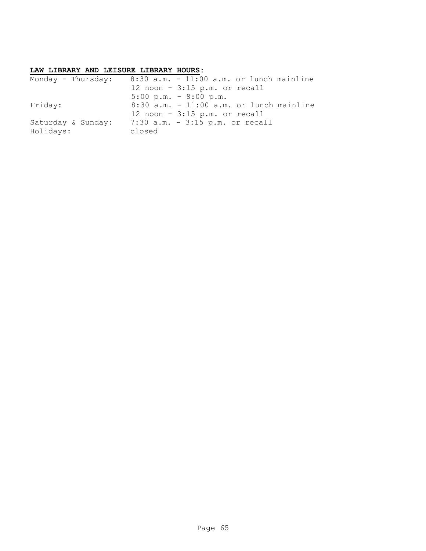#### **LAW LIBRARY AND LEISURE LIBRARY HOURS:**

| Monday - Thursday: |        | $8:30$ a.m. - $11:00$ a.m. or lunch mainline |
|--------------------|--------|----------------------------------------------|
|                    |        | 12 noon $-3:15$ p.m. or recall               |
|                    |        | $5:00 \text{ p.m.} - 8:00 \text{ p.m.}$      |
| Friday:            |        | $8:30$ a.m. - 11:00 a.m. or lunch mainline   |
|                    |        | 12 noon $-3:15$ p.m. or recall               |
| Saturday & Sunday: |        | 7:30 a.m. - 3:15 p.m. or recall              |
| Holidays:          | closed |                                              |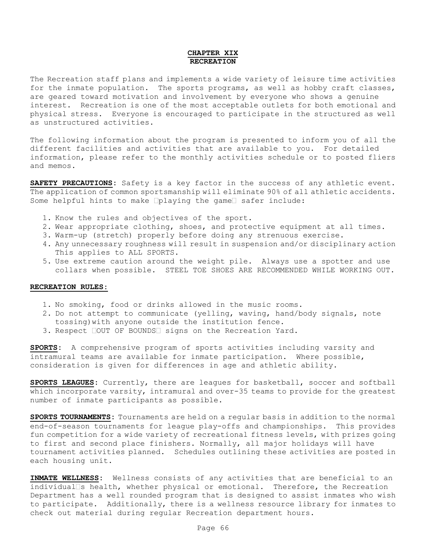#### **CHAPTER XIX RECREATION**

The Recreation staff plans and implements a wide variety of leisure time activities for the inmate population. The sports programs, as well as hobby craft classes, are geared toward motivation and involvement by everyone who shows a genuine interest. Recreation is one of the most acceptable outlets for both emotional and physical stress. Everyone is encouraged to participate in the structured as well as unstructured activities.

The following information about the program is presented to inform you of all the different facilities and activities that are available to you. For detailed information, please refer to the monthly activities schedule or to posted fliers and memos.

**SAFETY PRECAUTIONS:** Safety is a key factor in the success of any athletic event. The application of common sportsmanship will eliminate 90% of all athletic accidents. Some helpful hints to make  $\Box$ playing the game $\Box$  safer include:

- 1. Know the rules and objectives of the sport.
- 2. Wear appropriate clothing, shoes, and protective equipment at all times.
- 3. Warm-up (stretch) properly before doing any strenuous exercise.
- 4. Any unnecessary roughness will result in suspension and/or disciplinary action This applies to ALL SPORTS.
- 5. Use extreme caution around the weight pile. Always use a spotter and use collars when possible. STEEL TOE SHOES ARE RECOMMENDED WHILE WORKING OUT.

#### **RECREATION RULES:**

- 1. No smoking, food or drinks allowed in the music rooms.
- 2. Do not attempt to communicate (yelling, waving, hand/body signals, note tossing)with anyone outside the institution fence.
- 3. Respect COUT OF BOUNDS signs on the Recreation Yard.

**SPORTS:** A comprehensive program of sports activities including varsity and intramural teams are available for inmate participation. Where possible, consideration is given for differences in age and athletic ability.

**SPORTS LEAGUES:** Currently, there are leagues for basketball, soccer and softball which incorporate varsity, intramural and over-35 teams to provide for the greatest number of inmate participants as possible.

**SPORTS TOURNAMENTS:** Tournaments are held on a regular basis in addition to the normal end-of-season tournaments for league play-offs and championships. This provides fun competition for a wide variety of recreational fitness levels, with prizes going to first and second place finishers. Normally, all major holidays will have tournament activities planned. Schedules outlining these activities are posted in each housing unit.

**INMATE WELLNESS:** Wellness consists of any activities that are beneficial to an individual  $\Box$ s health, whether physical or emotional. Therefore, the Recreation Department has a well rounded program that is designed to assist inmates who wish to participate. Additionally, there is a wellness resource library for inmates to check out material during regular Recreation department hours.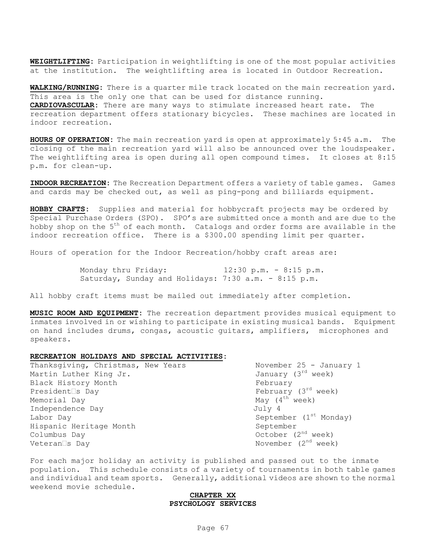**WEIGHTLIFTING:** Participation in weightlifting is one of the most popular activities at the institution. The weightlifting area is located in Outdoor Recreation.

**WALKING/RUNNING:** There is a quarter mile track located on the main recreation yard. This area is the only one that can be used for distance running. **CARDIOVASCULAR:** There are many ways to stimulate increased heart rate. The recreation department offers stationary bicycles. These machines are located in indoor recreation.

**HOURS OF OPERATION:** The main recreation yard is open at approximately 5:45 a.m. The closing of the main recreation yard will also be announced over the loudspeaker. The weightlifting area is open during all open compound times. It closes at 8:15 p.m. for clean-up.

**INDOOR RECREATION:** The Recreation Department offers a variety of table games. Games and cards may be checked out, as well as ping-pong and billiards equipment.

**HOBBY CRAFTS:** Supplies and material for hobbycraft projects may be ordered by Special Purchase Orders (SPO). SPO's are submitted once a month and are due to the hobby shop on the  $5<sup>th</sup>$  of each month. Catalogs and order forms are available in the indoor recreation office. There is a \$300.00 spending limit per quarter.

Hours of operation for the Indoor Recreation/hobby craft areas are:

Monday thru Friday: 12:30 p.m. - 8:15 p.m. Saturday, Sunday and Holidays: 7:30 a.m. - 8:15 p.m.

All hobby craft items must be mailed out immediately after completion.

**MUSIC ROOM AND EQUIPMENT:** The recreation department provides musical equipment to inmates involved in or wishing to participate in existing musical bands. Equipment on hand includes drums, congas, acoustic guitars, amplifiers, microphones and speakers.

#### **RECREATION HOLIDAYS AND SPECIAL ACTIVITIES:**

Thanksgiving, Christmas, New Years November 25 - January 1<br>Martin Luther King Jr. (3rd veek) Martin Luther King Jr. Black History Month Tebruary February President S Day February (3<sup>rd</sup> week) Memorial Day  $M$ ay (4<sup>th</sup> week) Independence Day **July 4** Labor Day  $S$  September (1st Monday) Hispanic Heritage Month September  $\text{Columbus Day}$   $\qquad \qquad \text{October} \quad (2^{\text{nd}} \text{ week})$  $V$ eteran  $\Box$ s Day  $V$ eteran  $\Box$ s Day  $N$ ovember (2<sup>nd</sup> week)

For each major holiday an activity is published and passed out to the inmate population. This schedule consists of a variety of tournaments in both table games and individual and team sports. Generally, additional videos are shown to the normal weekend movie schedule.

#### **CHAPTER XX PSYCHOLOGY SERVICES**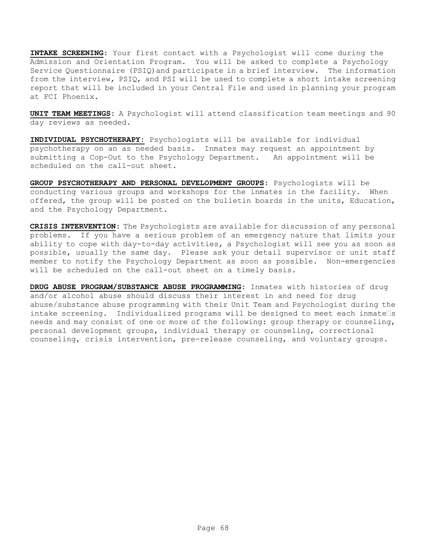**INTAKE SCREENING:** Your first contact with a Psychologist will come during the Admission and Orientation Program. You will be asked to complete a Psychology Service Questionnaire (PSIQ)and participate in a brief interview. The information from the interview, PSIQ, and PSI will be used to complete a short intake screening report that will be included in your Central File and used in planning your program at FCI Phoenix.

**UNIT TEAM MEETINGS:** A Psychologist will attend classification team meetings and 90 day reviews as needed.

**INDIVIDUAL PSYCHOTHERAPY:** Psychologists will be available for individual psychotherapy on an as needed basis. Inmates may request an appointment by submitting a Cop-Out to the Psychology Department. An appointment will be scheduled on the call-out sheet.

**GROUP PSYCHOTHERAPY AND PERSONAL DEVELOPMENT GROUPS:** Psychologists will be conducting various groups and workshops for the inmates in the facility. When offered, the group will be posted on the bulletin boards in the units, Education, and the Psychology Department.

**CRISIS INTERVENTION:** The Psychologists are available for discussion of any personal problems. If you have a serious problem of an emergency nature that limits your ability to cope with day-to-day activities, a Psychologist will see you as soon as possible, usually the same day. Please ask your detail supervisor or unit staff member to notify the Psychology Department as soon as possible. Non-emergencies will be scheduled on the call-out sheet on a timely basis.

**DRUG ABUSE PROGRAM/SUBSTANCE ABUSE PROGRAMMING:** Inmates with histories of drug and/or alcohol abuse should discuss their interest in and need for drug abuse/substance abuse programming with their Unit Team and Psychologist during the intake screening. Individualized programs will be designed to meet each inmate $\square$ s needs and may consist of one or more of the following: group therapy or counseling, personal development groups, individual therapy or counseling, correctional counseling, crisis intervention, pre-release counseling, and voluntary groups.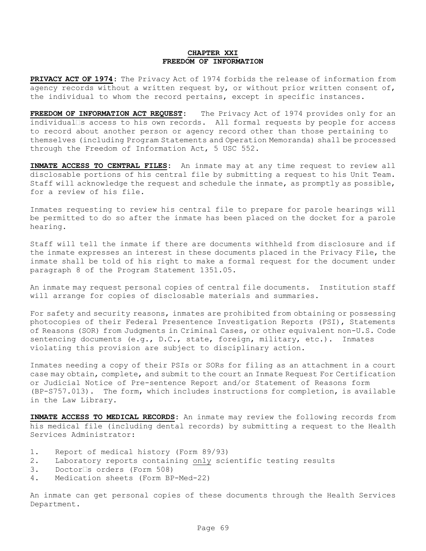#### **CHAPTER XXI FREEDOM OF INFORMATION**

**PRIVACY ACT OF 1974:** The Privacy Act of 1974 forbids the release of information from agency records without a written request by, or without prior written consent of, the individual to whom the record pertains, except in specific instances.

**FREEDOM OF INFORMATION ACT REQUEST:** The Privacy Act of 1974 provides only for an individual $\Box$ s access to his own records. All formal requests by people for access to record about another person or agency record other than those pertaining to themselves (including Program Statements and Operation Memoranda) shall be processed through the Freedom of Information Act, 5 USC 552.

**INMATE ACCESS TO CENTRAL FILES:** An inmate may at any time request to review all disclosable portions of his central file by submitting a request to his Unit Team. Staff will acknowledge the request and schedule the inmate, as promptly as possible, for a review of his file.

Inmates requesting to review his central file to prepare for parole hearings will be permitted to do so after the inmate has been placed on the docket for a parole hearing.

Staff will tell the inmate if there are documents withheld from disclosure and if the inmate expresses an interest in these documents placed in the Privacy File, the inmate shall be told of his right to make a formal request for the document under paragraph 8 of the Program Statement 1351.05.

An inmate may request personal copies of central file documents. Institution staff will arrange for copies of disclosable materials and summaries.

For safety and security reasons, inmates are prohibited from obtaining or possessing photocopies of their Federal Presentence Investigation Reports (PSI), Statements of Reasons (SOR) from Judgments in Criminal Cases, or other equivalent non-U.S. Code sentencing documents (e.g., D.C., state, foreign, military, etc.). Inmates violating this provision are subject to disciplinary action.

Inmates needing a copy of their PSIs or SORs for filing as an attachment in a court case may obtain, complete, and submit to the court an Inmate Request For Certification or Judicial Notice of Pre-sentence Report and/or Statement of Reasons form (BP-S757.013). The form, which includes instructions for completion, is available in the Law Library.

**INMATE ACCESS TO MEDICAL RECORDS:** An inmate may review the following records from his medical file (including dental records) by submitting a request to the Health Services Administrator:

- 1. Report of medical history (Form 89/93)
- 2. Laboratory reports containing only scientific testing results
- $3.$  Doctor s orders (Form 508)
- 4. Medication sheets (Form BP-Med-22)

An inmate can get personal copies of these documents through the Health Services Department.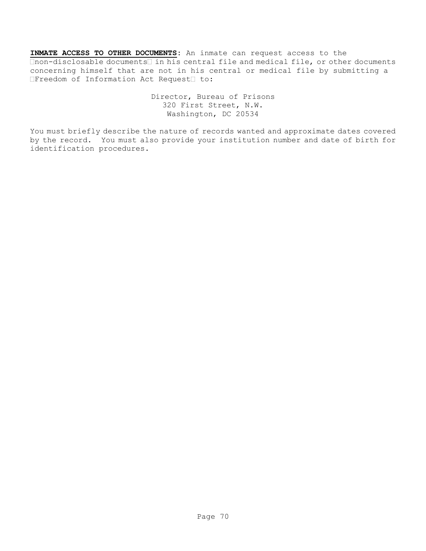**INMATE ACCESS TO OTHER DOCUMENTS:** An inmate can request access to the  $\Box$ non-disclosable documents $\Box$  in his central file and medical file, or other documents concerning himself that are not in his central or medical file by submitting a  $\Box$  Freedom of Information Act Request $\Box$  to:

> Director, Bureau of Prisons 320 First Street, N.W. Washington, DC 20534

You must briefly describe the nature of records wanted and approximate dates covered by the record. You must also provide your institution number and date of birth for identification procedures.